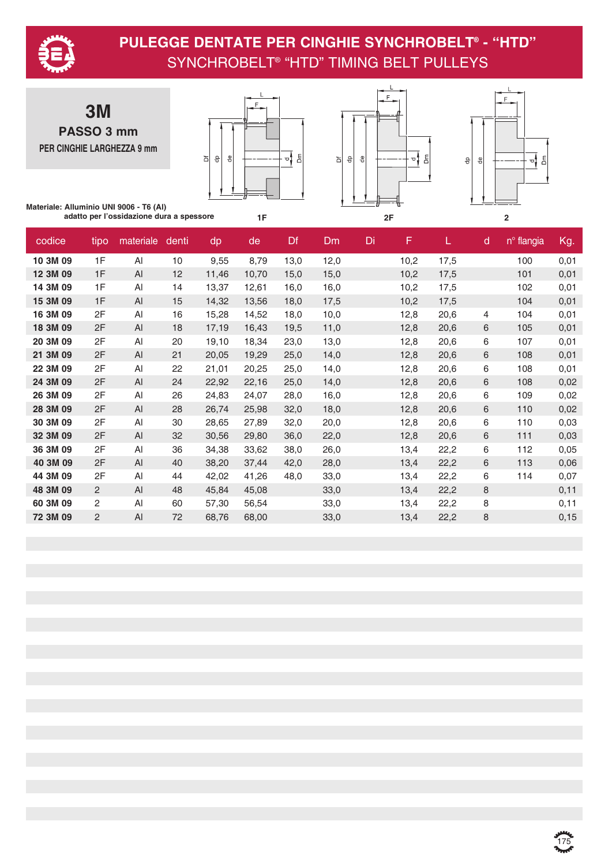

**3M PASSO 3 mm PER CINGHIE LARGHEZZA 9 mm**







**Materiale: Alluminio UNI 9006 - T6 (Al) adatto per l'ossidazione dura a spessore**

| codice   | tipo           | materiale | denti | dp    | de    | Df   | <b>Dm</b> | Di | F    | L.   | d | n <sup>o</sup> flangia | Kg.  |
|----------|----------------|-----------|-------|-------|-------|------|-----------|----|------|------|---|------------------------|------|
| 10 3M 09 | 1F             | AI        | 10    | 9,55  | 8,79  | 13,0 | 12,0      |    | 10,2 | 17,5 |   | 100                    | 0,01 |
| 12 3M 09 | 1F             | AI        | 12    | 11,46 | 10,70 | 15,0 | 15,0      |    | 10,2 | 17,5 |   | 101                    | 0,01 |
| 14 3M 09 | 1F             | AI        | 14    | 13,37 | 12,61 | 16,0 | 16,0      |    | 10,2 | 17,5 |   | 102                    | 0,01 |
| 15 3M 09 | 1F             | AI        | 15    | 14,32 | 13,56 | 18,0 | 17,5      |    | 10,2 | 17,5 |   | 104                    | 0,01 |
| 16 3M 09 | 2F             | Al        | 16    | 15,28 | 14,52 | 18,0 | 10,0      |    | 12,8 | 20,6 | 4 | 104                    | 0,01 |
| 18 3M 09 | 2F             | Al        | 18    | 17,19 | 16,43 | 19,5 | 11,0      |    | 12,8 | 20,6 | 6 | 105                    | 0,01 |
| 20 3M 09 | 2F             | AI        | 20    | 19,10 | 18,34 | 23,0 | 13,0      |    | 12,8 | 20,6 | 6 | 107                    | 0,01 |
| 21 3M 09 | 2F             | AI        | 21    | 20,05 | 19,29 | 25,0 | 14,0      |    | 12,8 | 20,6 | 6 | 108                    | 0,01 |
| 22 3M 09 | 2F             | AI        | 22    | 21,01 | 20,25 | 25,0 | 14,0      |    | 12,8 | 20,6 | 6 | 108                    | 0,01 |
| 24 3M 09 | 2F             | AI        | 24    | 22,92 | 22,16 | 25,0 | 14,0      |    | 12,8 | 20,6 | 6 | 108                    | 0,02 |
| 26 3M 09 | 2F             | AI        | 26    | 24,83 | 24,07 | 28,0 | 16,0      |    | 12,8 | 20,6 | 6 | 109                    | 0,02 |
| 28 3M 09 | 2F             | AI        | 28    | 26,74 | 25,98 | 32,0 | 18,0      |    | 12,8 | 20,6 | 6 | 110                    | 0,02 |
| 30 3M 09 | 2F             | Al        | 30    | 28,65 | 27,89 | 32,0 | 20,0      |    | 12,8 | 20,6 | 6 | 110                    | 0,03 |
| 32 3M 09 | 2F             | AI        | 32    | 30,56 | 29,80 | 36,0 | 22,0      |    | 12,8 | 20,6 | 6 | 111                    | 0,03 |
| 36 3M 09 | 2F             | AI        | 36    | 34,38 | 33,62 | 38,0 | 26,0      |    | 13,4 | 22,2 | 6 | 112                    | 0,05 |
| 40 3M 09 | 2F             | AI        | 40    | 38,20 | 37,44 | 42,0 | 28,0      |    | 13,4 | 22,2 | 6 | 113                    | 0,06 |
| 44 3M 09 | 2F             | AI        | 44    | 42,02 | 41,26 | 48,0 | 33,0      |    | 13,4 | 22,2 | 6 | 114                    | 0,07 |
| 48 3M 09 | 2              | AI        | 48    | 45,84 | 45,08 |      | 33,0      |    | 13,4 | 22,2 | 8 |                        | 0,11 |
| 60 3M 09 | 2              | AI        | 60    | 57,30 | 56,54 |      | 33,0      |    | 13,4 | 22,2 | 8 |                        | 0,11 |
| 72 3M 09 | $\overline{2}$ | AI        | 72    | 68,76 | 68,00 |      | 33,0      |    | 13,4 | 22,2 | 8 |                        | 0,15 |

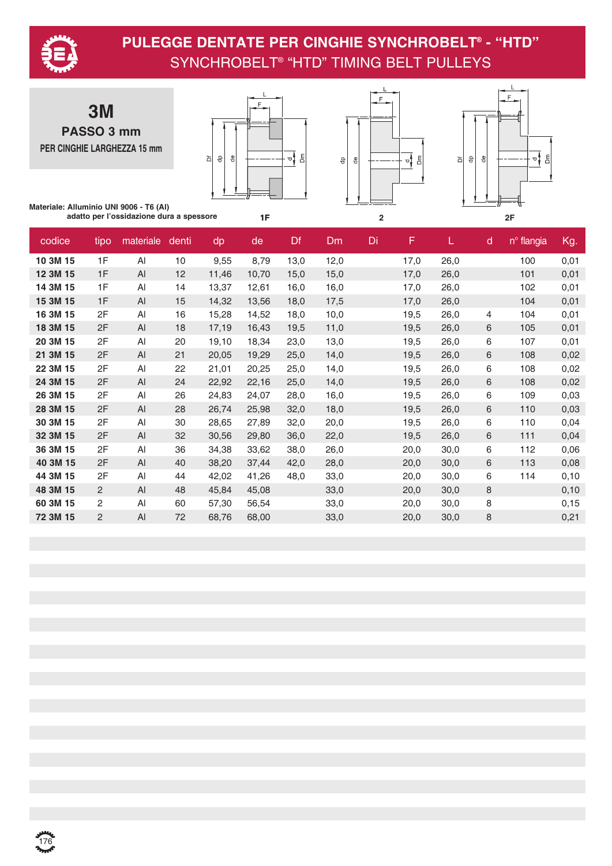

**3M PASSO 3 mm PER CINGHIE LARGHEZZA 15 mm**







**Materiale: Alluminio UNI 9006 - T6 (Al) adatto per l'ossidazione dura a spessore**

| codice   | tipo | materiale | denti | dp    | de    | Df   | Dm   | Di | F    |      | $\mathsf{d}$ | n <sup>o</sup> flangia | Kg.   |
|----------|------|-----------|-------|-------|-------|------|------|----|------|------|--------------|------------------------|-------|
| 10 3M 15 | 1F   | Al        | 10    | 9,55  | 8,79  | 13,0 | 12,0 |    | 17,0 | 26,0 |              | 100                    | 0,01  |
| 12 3M 15 | 1F   | AI        | 12    | 11,46 | 10,70 | 15,0 | 15,0 |    | 17,0 | 26,0 |              | 101                    | 0,01  |
| 14 3M 15 | 1F   | Al        | 14    | 13,37 | 12,61 | 16,0 | 16,0 |    | 17,0 | 26,0 |              | 102                    | 0,01  |
| 15 3M 15 | 1F   | AI        | 15    | 14,32 | 13,56 | 18,0 | 17,5 |    | 17,0 | 26,0 |              | 104                    | 0,01  |
| 16 3M 15 | 2F   | AI        | 16    | 15,28 | 14,52 | 18,0 | 10,0 |    | 19,5 | 26,0 | 4            | 104                    | 0,01  |
| 18 3M 15 | 2F   | Al        | 18    | 17,19 | 16,43 | 19,5 | 11,0 |    | 19,5 | 26,0 | 6            | 105                    | 0,01  |
| 20 3M 15 | 2F   | Al        | 20    | 19,10 | 18,34 | 23,0 | 13,0 |    | 19,5 | 26,0 | 6            | 107                    | 0,01  |
| 21 3M 15 | 2F   | AI        | 21    | 20,05 | 19,29 | 25,0 | 14,0 |    | 19,5 | 26,0 | 6            | 108                    | 0,02  |
| 22 3M 15 | 2F   | Al        | 22    | 21,01 | 20,25 | 25,0 | 14,0 |    | 19,5 | 26,0 | 6            | 108                    | 0,02  |
| 24 3M 15 | 2F   | AI        | 24    | 22,92 | 22,16 | 25,0 | 14,0 |    | 19,5 | 26,0 | 6            | 108                    | 0,02  |
| 26 3M 15 | 2F   | Al        | 26    | 24,83 | 24,07 | 28,0 | 16,0 |    | 19,5 | 26,0 | 6            | 109                    | 0,03  |
| 28 3M 15 | 2F   | Al        | 28    | 26,74 | 25,98 | 32,0 | 18,0 |    | 19,5 | 26,0 | 6            | 110                    | 0,03  |
| 30 3M 15 | 2F   | Al        | 30    | 28,65 | 27,89 | 32,0 | 20,0 |    | 19,5 | 26,0 | 6            | 110                    | 0,04  |
| 32 3M 15 | 2F   | AI        | 32    | 30,56 | 29,80 | 36,0 | 22,0 |    | 19,5 | 26,0 | 6            | 111                    | 0,04  |
| 36 3M 15 | 2F   | Al        | 36    | 34,38 | 33,62 | 38,0 | 26,0 |    | 20,0 | 30,0 | 6            | 112                    | 0,06  |
| 40 3M 15 | 2F   | AI        | 40    | 38,20 | 37,44 | 42,0 | 28,0 |    | 20,0 | 30,0 | 6            | 113                    | 0,08  |
| 44 3M 15 | 2F   | AI        | 44    | 42,02 | 41,26 | 48,0 | 33,0 |    | 20,0 | 30,0 | 6            | 114                    | 0,10  |
| 48 3M 15 | 2    | AI        | 48    | 45,84 | 45,08 |      | 33,0 |    | 20,0 | 30,0 | 8            |                        | 0, 10 |
| 60 3M 15 | 2    | Al        | 60    | 57,30 | 56,54 |      | 33,0 |    | 20,0 | 30,0 | 8            |                        | 0, 15 |
| 72 3M 15 | 2    | AI        | 72    | 68,76 | 68,00 |      | 33,0 |    | 20,0 | 30,0 | 8            |                        | 0,21  |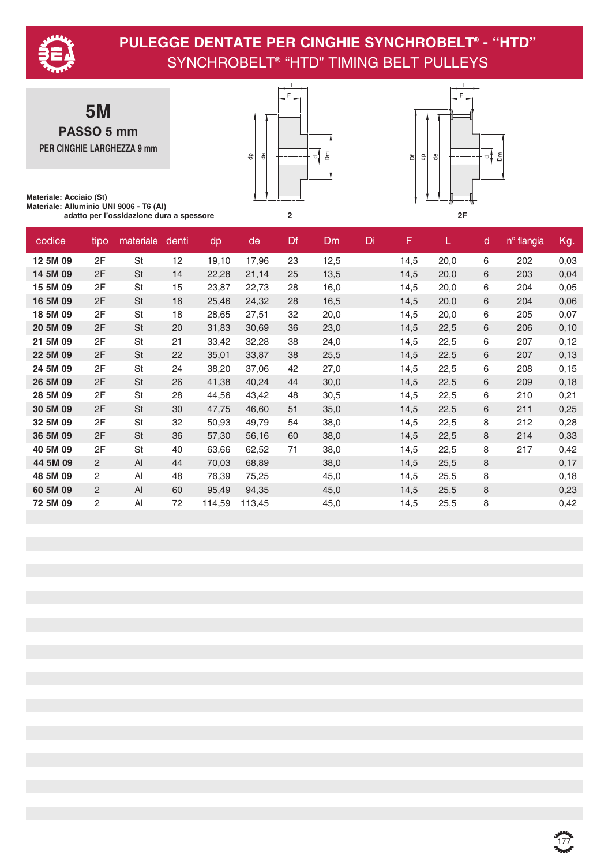

**5M PASSO 5 mm PER CINGHIE LARGHEZZA 9 mm**





**Materiale: Acciaio (St) Materiale: Alluminio UNI 9006 - T6 (Al) adatto per l'ossidazione dura a spessore 2 2F**

| codice   | tipo | materiale | denti | dp     | de     | Df | Dm   | Di | F    | L.   | d | n <sup>o</sup> flangia | Kg.   |
|----------|------|-----------|-------|--------|--------|----|------|----|------|------|---|------------------------|-------|
| 12 5M 09 | 2F   | <b>St</b> | 12    | 19,10  | 17,96  | 23 | 12,5 |    | 14,5 | 20,0 | 6 | 202                    | 0,03  |
| 14 5M 09 | 2F   | <b>St</b> | 14    | 22,28  | 21,14  | 25 | 13,5 |    | 14,5 | 20,0 | 6 | 203                    | 0,04  |
| 15 5M 09 | 2F   | St        | 15    | 23,87  | 22,73  | 28 | 16,0 |    | 14,5 | 20,0 | 6 | 204                    | 0,05  |
| 16 5M 09 | 2F   | St        | 16    | 25,46  | 24,32  | 28 | 16,5 |    | 14,5 | 20,0 | 6 | 204                    | 0,06  |
| 18 5M 09 | 2F   | St        | 18    | 28,65  | 27,51  | 32 | 20,0 |    | 14,5 | 20,0 | 6 | 205                    | 0,07  |
| 20 5M 09 | 2F   | <b>St</b> | 20    | 31,83  | 30,69  | 36 | 23,0 |    | 14,5 | 22,5 | 6 | 206                    | 0,10  |
| 21 5M 09 | 2F   | St        | 21    | 33,42  | 32,28  | 38 | 24,0 |    | 14,5 | 22,5 | 6 | 207                    | 0,12  |
| 22 5M 09 | 2F   | <b>St</b> | 22    | 35,01  | 33,87  | 38 | 25,5 |    | 14,5 | 22,5 | 6 | 207                    | 0,13  |
| 24 5M 09 | 2F   | St        | 24    | 38,20  | 37,06  | 42 | 27,0 |    | 14,5 | 22,5 | 6 | 208                    | 0, 15 |
| 26 5M 09 | 2F   | <b>St</b> | 26    | 41,38  | 40,24  | 44 | 30,0 |    | 14,5 | 22,5 | 6 | 209                    | 0,18  |
| 28 5M 09 | 2F   | <b>St</b> | 28    | 44,56  | 43,42  | 48 | 30,5 |    | 14,5 | 22,5 | 6 | 210                    | 0,21  |
| 30 5M 09 | 2F   | <b>St</b> | 30    | 47,75  | 46,60  | 51 | 35,0 |    | 14,5 | 22,5 | 6 | 211                    | 0,25  |
| 32 5M 09 | 2F   | St        | 32    | 50,93  | 49,79  | 54 | 38,0 |    | 14,5 | 22,5 | 8 | 212                    | 0,28  |
| 36 5M 09 | 2F   | <b>St</b> | 36    | 57,30  | 56,16  | 60 | 38,0 |    | 14,5 | 22,5 | 8 | 214                    | 0,33  |
| 40 5M 09 | 2F   | St        | 40    | 63,66  | 62,52  | 71 | 38,0 |    | 14,5 | 22,5 | 8 | 217                    | 0,42  |
| 44 5M 09 | 2    | AI        | 44    | 70,03  | 68,89  |    | 38,0 |    | 14,5 | 25,5 | 8 |                        | 0,17  |
| 48 5M 09 | 2    | AI        | 48    | 76,39  | 75,25  |    | 45,0 |    | 14,5 | 25,5 | 8 |                        | 0,18  |
| 60 5M 09 | 2    | AI        | 60    | 95,49  | 94,35  |    | 45,0 |    | 14,5 | 25,5 | 8 |                        | 0,23  |
| 72 5M 09 | 2    | AI        | 72    | 114,59 | 113,45 |    | 45,0 |    | 14,5 | 25,5 | 8 |                        | 0,42  |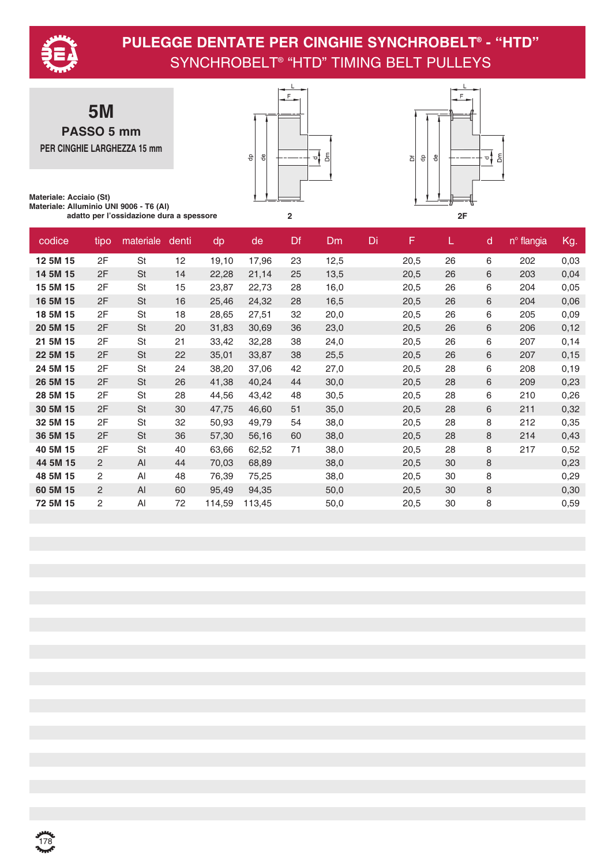

**5M PASSO 5 mm PER CINGHIE LARGHEZZA 15 mm**





**Materiale: Acciaio (St) Materiale: Alluminio UNI 9006 - T6 (Al) adatto per l'ossidazione dura a spessore 2 2F**

| codice   | tipo | materiale | denti | dp     | de     | <b>Df</b> | Dm   | Di | F    |    | d | n <sup>o</sup> flangia | Kg.   |
|----------|------|-----------|-------|--------|--------|-----------|------|----|------|----|---|------------------------|-------|
| 12 5M 15 | 2F   | St        | 12    | 19,10  | 17,96  | 23        | 12,5 |    | 20,5 | 26 | 6 | 202                    | 0,03  |
| 14 5M 15 | 2F   | <b>St</b> | 14    | 22,28  | 21,14  | 25        | 13,5 |    | 20,5 | 26 | 6 | 203                    | 0,04  |
| 15 5M 15 | 2F   | St        | 15    | 23,87  | 22,73  | 28        | 16,0 |    | 20,5 | 26 | 6 | 204                    | 0,05  |
| 16 5M 15 | 2F   | <b>St</b> | 16    | 25,46  | 24,32  | 28        | 16,5 |    | 20,5 | 26 | 6 | 204                    | 0,06  |
| 18 5M 15 | 2F   | St        | 18    | 28,65  | 27,51  | 32        | 20,0 |    | 20,5 | 26 | 6 | 205                    | 0,09  |
| 20 5M 15 | 2F   | <b>St</b> | 20    | 31,83  | 30,69  | 36        | 23,0 |    | 20,5 | 26 | 6 | 206                    | 0,12  |
| 21 5M 15 | 2F   | St        | 21    | 33,42  | 32,28  | 38        | 24,0 |    | 20,5 | 26 | 6 | 207                    | 0,14  |
| 22 5M 15 | 2F   | <b>St</b> | 22    | 35,01  | 33,87  | 38        | 25,5 |    | 20,5 | 26 | 6 | 207                    | 0, 15 |
| 24 5M 15 | 2F   | St        | 24    | 38,20  | 37,06  | 42        | 27,0 |    | 20,5 | 28 | 6 | 208                    | 0, 19 |
| 26 5M 15 | 2F   | <b>St</b> | 26    | 41,38  | 40,24  | 44        | 30,0 |    | 20,5 | 28 | 6 | 209                    | 0,23  |
| 28 5M 15 | 2F   | St        | 28    | 44,56  | 43,42  | 48        | 30,5 |    | 20,5 | 28 | 6 | 210                    | 0,26  |
| 30 5M 15 | 2F   | <b>St</b> | 30    | 47,75  | 46,60  | 51        | 35,0 |    | 20,5 | 28 | 6 | 211                    | 0,32  |
| 32 5M 15 | 2F   | St        | 32    | 50,93  | 49,79  | 54        | 38,0 |    | 20,5 | 28 | 8 | 212                    | 0,35  |
| 36 5M 15 | 2F   | <b>St</b> | 36    | 57,30  | 56,16  | 60        | 38,0 |    | 20,5 | 28 | 8 | 214                    | 0,43  |
| 40 5M 15 | 2F   | St        | 40    | 63,66  | 62,52  | 71        | 38,0 |    | 20,5 | 28 | 8 | 217                    | 0,52  |
| 44 5M 15 | 2    | AI        | 44    | 70,03  | 68,89  |           | 38,0 |    | 20,5 | 30 | 8 |                        | 0,23  |
| 48 5M 15 | 2    | Al        | 48    | 76,39  | 75,25  |           | 38,0 |    | 20,5 | 30 | 8 |                        | 0,29  |
| 60 5M 15 | 2    | AI        | 60    | 95,49  | 94,35  |           | 50,0 |    | 20,5 | 30 | 8 |                        | 0,30  |
| 72 5M 15 | 2    | Al        | 72    | 114,59 | 113,45 |           | 50,0 |    | 20,5 | 30 | 8 |                        | 0,59  |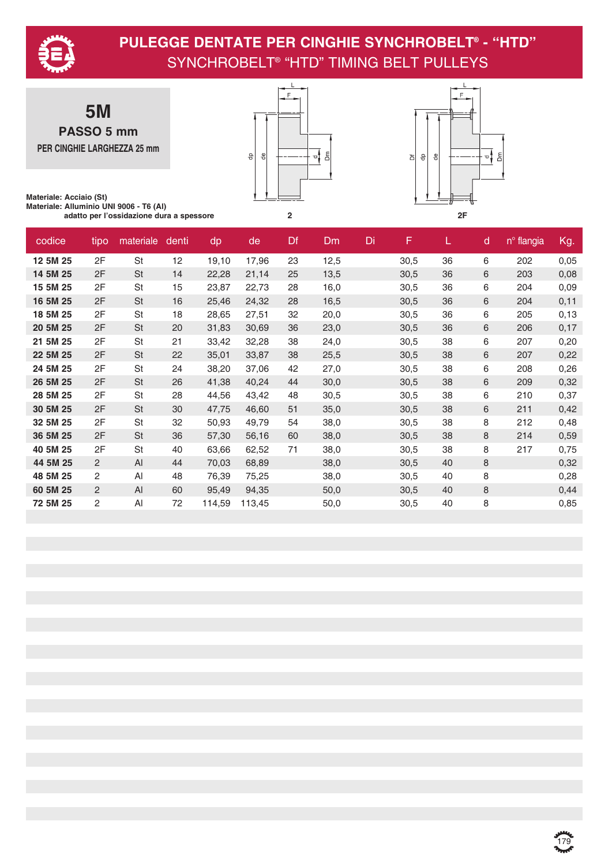

**5M PASSO 5 mm PER CINGHIE LARGHEZZA 25 mm**





**Materiale: Acciaio (St) Materiale: Alluminio UNI 9006 - T6 (Al) adatto per l'ossidazione dura a spessore 2 2F**

| codice   | tipo           | materiale | denti | dp     | de     | Df | Dm   | Di | F    | L. | d | n <sup>o</sup> flangia | Kg.  |
|----------|----------------|-----------|-------|--------|--------|----|------|----|------|----|---|------------------------|------|
| 12 5M 25 | 2F             | <b>St</b> | 12    | 19,10  | 17,96  | 23 | 12,5 |    | 30,5 | 36 | 6 | 202                    | 0,05 |
| 14 5M 25 | 2F             | <b>St</b> | 14    | 22,28  | 21,14  | 25 | 13,5 |    | 30,5 | 36 | 6 | 203                    | 0,08 |
| 15 5M 25 | 2F             | St        | 15    | 23,87  | 22,73  | 28 | 16,0 |    | 30,5 | 36 | 6 | 204                    | 0,09 |
| 16 5M 25 | 2F             | St        | 16    | 25,46  | 24,32  | 28 | 16,5 |    | 30,5 | 36 | 6 | 204                    | 0,11 |
| 18 5M 25 | 2F             | St        | 18    | 28,65  | 27,51  | 32 | 20,0 |    | 30,5 | 36 | 6 | 205                    | 0,13 |
| 20 5M 25 | 2F             | <b>St</b> | 20    | 31,83  | 30,69  | 36 | 23,0 |    | 30,5 | 36 | 6 | 206                    | 0,17 |
| 21 5M 25 | 2F             | St        | 21    | 33,42  | 32,28  | 38 | 24,0 |    | 30,5 | 38 | 6 | 207                    | 0,20 |
| 22 5M 25 | 2F             | <b>St</b> | 22    | 35,01  | 33,87  | 38 | 25,5 |    | 30,5 | 38 | 6 | 207                    | 0,22 |
| 24 5M 25 | 2F             | <b>St</b> | 24    | 38,20  | 37,06  | 42 | 27,0 |    | 30,5 | 38 | 6 | 208                    | 0,26 |
| 26 5M 25 | 2F             | <b>St</b> | 26    | 41,38  | 40,24  | 44 | 30,0 |    | 30,5 | 38 | 6 | 209                    | 0,32 |
| 28 5M 25 | 2F             | <b>St</b> | 28    | 44,56  | 43,42  | 48 | 30,5 |    | 30,5 | 38 | 6 | 210                    | 0,37 |
| 30 5M 25 | 2F             | <b>St</b> | 30    | 47,75  | 46,60  | 51 | 35,0 |    | 30,5 | 38 | 6 | 211                    | 0,42 |
| 32 5M 25 | 2F             | <b>St</b> | 32    | 50,93  | 49,79  | 54 | 38,0 |    | 30,5 | 38 | 8 | 212                    | 0,48 |
| 36 5M 25 | 2F             | <b>St</b> | 36    | 57,30  | 56,16  | 60 | 38,0 |    | 30,5 | 38 | 8 | 214                    | 0,59 |
| 40 5M 25 | 2F             | St        | 40    | 63,66  | 62,52  | 71 | 38,0 |    | 30,5 | 38 | 8 | 217                    | 0,75 |
| 44 5M 25 | $\overline{2}$ | AI        | 44    | 70,03  | 68,89  |    | 38,0 |    | 30,5 | 40 | 8 |                        | 0,32 |
| 48 5M 25 | 2              | Al        | 48    | 76,39  | 75,25  |    | 38,0 |    | 30,5 | 40 | 8 |                        | 0,28 |
| 60 5M 25 | 2              | AI        | 60    | 95,49  | 94,35  |    | 50,0 |    | 30,5 | 40 | 8 |                        | 0,44 |
| 72 5M 25 | $\overline{2}$ | AI        | 72    | 114,59 | 113,45 |    | 50,0 |    | 30,5 | 40 | 8 |                        | 0,85 |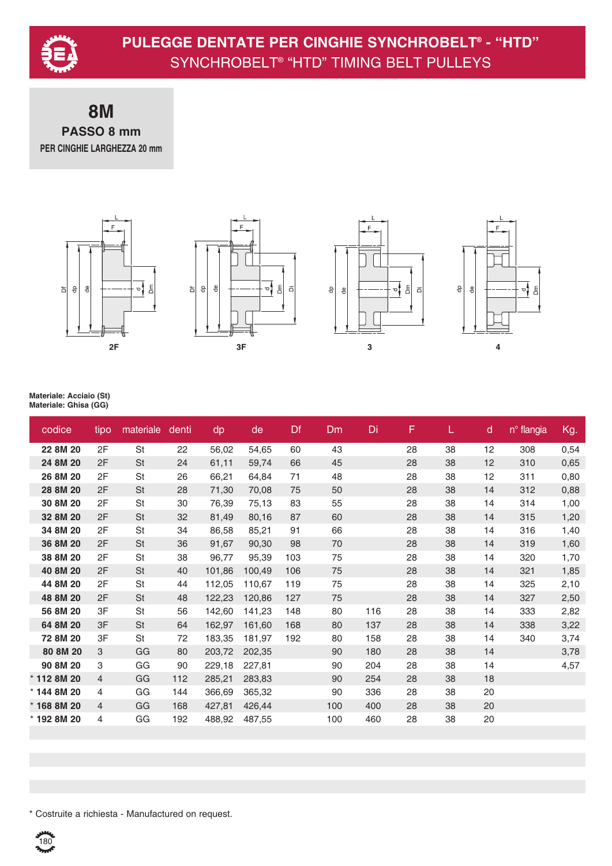

#### **8M PASSO 8 mm PER CINGHIE LARGHEZZA 20 mm**









#### **Materiale: Acciaio (St) Materiale: Ghisa (GG)**

| codice      | tipo           | materiale | denti | dp     | de     | Df  | <b>Dm</b> | Di  | F  | L  | d  | n <sup>o</sup> flangia | Kg.  |
|-------------|----------------|-----------|-------|--------|--------|-----|-----------|-----|----|----|----|------------------------|------|
| 22 8M 20    | 2F             | St        | 22    | 56,02  | 54,65  | 60  | 43        |     | 28 | 38 | 12 | 308                    | 0,54 |
| 24 8M 20    | 2F             | <b>St</b> | 24    | 61,11  | 59,74  | 66  | 45        |     | 28 | 38 | 12 | 310                    | 0,65 |
| 26 8M 20    | 2F             | St        | 26    | 66,21  | 64,84  | 71  | 48        |     | 28 | 38 | 12 | 311                    | 0,80 |
| 28 8M 20    | 2F             | <b>St</b> | 28    | 71,30  | 70,08  | 75  | 50        |     | 28 | 38 | 14 | 312                    | 0,88 |
| 30 8M 20    | 2F             | St        | 30    | 76,39  | 75,13  | 83  | 55        |     | 28 | 38 | 14 | 314                    | 1,00 |
| 32 8M 20    | 2F             | <b>St</b> | 32    | 81,49  | 80,16  | 87  | 60        |     | 28 | 38 | 14 | 315                    | 1,20 |
| 34 8M 20    | 2F             | St        | 34    | 86,58  | 85,21  | 91  | 66        |     | 28 | 38 | 14 | 316                    | 1,40 |
| 36 8M 20    | 2F             | <b>St</b> | 36    | 91,67  | 90,30  | 98  | 70        |     | 28 | 38 | 14 | 319                    | 1,60 |
| 38 8M 20    | 2F             | St        | 38    | 96,77  | 95,39  | 103 | 75        |     | 28 | 38 | 14 | 320                    | 1,70 |
| 40 8M 20    | 2F             | St        | 40    | 101,86 | 100,49 | 106 | 75        |     | 28 | 38 | 14 | 321                    | 1,85 |
| 44 8M 20    | 2F             | St        | 44    | 112,05 | 110,67 | 119 | 75        |     | 28 | 38 | 14 | 325                    | 2,10 |
| 48 8M 20    | 2F             | <b>St</b> | 48    | 122,23 | 120,86 | 127 | 75        |     | 28 | 38 | 14 | 327                    | 2,50 |
| 56 8M 20    | 3F             | <b>St</b> | 56    | 142,60 | 141,23 | 148 | 80        | 116 | 28 | 38 | 14 | 333                    | 2,82 |
| 64 8M 20    | 3F             | <b>St</b> | 64    | 162,97 | 161,60 | 168 | 80        | 137 | 28 | 38 | 14 | 338                    | 3,22 |
| 72 8M 20    | 3F             | St        | 72    | 183,35 | 181,97 | 192 | 80        | 158 | 28 | 38 | 14 | 340                    | 3,74 |
| 80 8M 20    | 3              | GG        | 80    | 203,72 | 202,35 |     | 90        | 180 | 28 | 38 | 14 |                        | 3,78 |
| 90 8M 20    | 3              | GG        | 90    | 229,18 | 227,81 |     | 90        | 204 | 28 | 38 | 14 |                        | 4,57 |
| * 112 8M 20 | $\overline{4}$ | GG        | 112   | 285,21 | 283,83 |     | 90        | 254 | 28 | 38 | 18 |                        |      |
| * 144 8M 20 | 4              | GG        | 144   | 366,69 | 365,32 |     | 90        | 336 | 28 | 38 | 20 |                        |      |
| * 168 8M 20 | $\overline{4}$ | GG        | 168   | 427,81 | 426,44 |     | 100       | 400 | 28 | 38 | 20 |                        |      |
| * 192 8M 20 | 4              | GG        | 192   | 488,92 | 487,55 |     | 100       | 460 | 28 | 38 | 20 |                        |      |
|             |                |           |       |        |        |     |           |     |    |    |    |                        |      |

\* Costruite a richiesta - Manufactured on request.

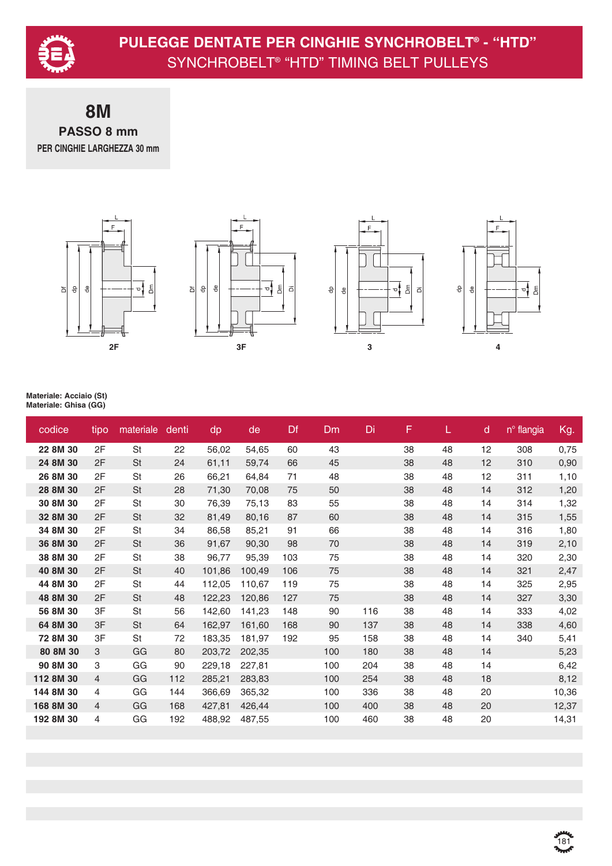

**8M PASSO 8 mm PER CINGHIE LARGHEZZA 30 mm**









| codice    | tipo           | materiale | denti | dp     | de     | Df  | <b>Dm</b> | Di  | F  | L. | $\mathsf{d}$ | nº flangia | Kg.   |
|-----------|----------------|-----------|-------|--------|--------|-----|-----------|-----|----|----|--------------|------------|-------|
| 22 8M 30  | 2F             | St        | 22    | 56,02  | 54,65  | 60  | 43        |     | 38 | 48 | 12           | 308        | 0,75  |
| 24 8M 30  | 2F             | <b>St</b> | 24    | 61,11  | 59,74  | 66  | 45        |     | 38 | 48 | 12           | 310        | 0,90  |
| 26 8M 30  | 2F             | St        | 26    | 66,21  | 64,84  | 71  | 48        |     | 38 | 48 | 12           | 311        | 1,10  |
| 28 8M 30  | 2F             | <b>St</b> | 28    | 71,30  | 70,08  | 75  | 50        |     | 38 | 48 | 14           | 312        | 1,20  |
| 30 8M 30  | 2F             | St        | 30    | 76,39  | 75,13  | 83  | 55        |     | 38 | 48 | 14           | 314        | 1,32  |
| 32 8M 30  | 2F             | St        | 32    | 81,49  | 80,16  | 87  | 60        |     | 38 | 48 | 14           | 315        | 1,55  |
| 34 8M 30  | 2F             | St        | 34    | 86,58  | 85,21  | 91  | 66        |     | 38 | 48 | 14           | 316        | 1,80  |
| 36 8M 30  | 2F             | St        | 36    | 91,67  | 90,30  | 98  | 70        |     | 38 | 48 | 14           | 319        | 2,10  |
| 38 8M 30  | 2F             | St        | 38    | 96,77  | 95,39  | 103 | 75        |     | 38 | 48 | 14           | 320        | 2,30  |
| 40 8M 30  | 2F             | <b>St</b> | 40    | 101,86 | 100,49 | 106 | 75        |     | 38 | 48 | 14           | 321        | 2,47  |
| 44 8M 30  | 2F             | St        | 44    | 112,05 | 110,67 | 119 | 75        |     | 38 | 48 | 14           | 325        | 2,95  |
| 48 8M 30  | 2F             | St        | 48    | 122,23 | 120,86 | 127 | 75        |     | 38 | 48 | 14           | 327        | 3,30  |
| 56 8M 30  | 3F             | St        | 56    | 142,60 | 141,23 | 148 | 90        | 116 | 38 | 48 | 14           | 333        | 4,02  |
| 64 8M 30  | 3F             | <b>St</b> | 64    | 162,97 | 161,60 | 168 | 90        | 137 | 38 | 48 | 14           | 338        | 4,60  |
| 72 8M 30  | 3F             | St        | 72    | 183,35 | 181,97 | 192 | 95        | 158 | 38 | 48 | 14           | 340        | 5,41  |
| 80 8M 30  | 3              | GG        | 80    | 203,72 | 202,35 |     | 100       | 180 | 38 | 48 | 14           |            | 5,23  |
| 90 8M 30  | 3              | GG        | 90    | 229,18 | 227,81 |     | 100       | 204 | 38 | 48 | 14           |            | 6,42  |
| 112 8M 30 | $\overline{4}$ | GG        | 112   | 285,21 | 283,83 |     | 100       | 254 | 38 | 48 | 18           |            | 8,12  |
| 144 8M 30 | 4              | GG        | 144   | 366,69 | 365,32 |     | 100       | 336 | 38 | 48 | 20           |            | 10,36 |
| 168 8M 30 | 4              | GG        | 168   | 427,81 | 426,44 |     | 100       | 400 | 38 | 48 | 20           |            | 12,37 |
| 192 8M 30 | 4              | GG        | 192   | 488,92 | 487,55 |     | 100       | 460 | 38 | 48 | 20           |            | 14,31 |
|           |                |           |       |        |        |     |           |     |    |    |              |            |       |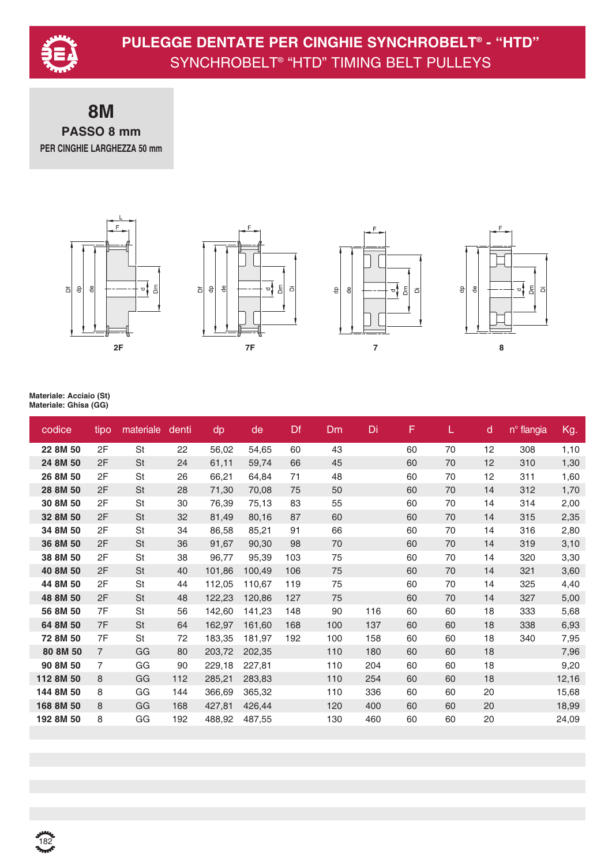

### **8M PASSO 8 mm PER CINGHIE LARGHEZZA 50 mm**









| codice    | tipo           | materiale | denti | dp     | de     | Df  | Dm  | Di  | F  | L  | d  | n <sup>o</sup> flangia | Kg.   |
|-----------|----------------|-----------|-------|--------|--------|-----|-----|-----|----|----|----|------------------------|-------|
| 22 8M 50  | 2F             | St        | 22    | 56,02  | 54,65  | 60  | 43  |     | 60 | 70 | 12 | 308                    | 1,10  |
| 24 8M 50  | 2F             | <b>St</b> | 24    | 61,11  | 59,74  | 66  | 45  |     | 60 | 70 | 12 | 310                    | 1,30  |
| 26 8M 50  | 2F             | St        | 26    | 66,21  | 64,84  | 71  | 48  |     | 60 | 70 | 12 | 311                    | 1,60  |
| 28 8M 50  | 2F             | <b>St</b> | 28    | 71,30  | 70,08  | 75  | 50  |     | 60 | 70 | 14 | 312                    | 1,70  |
| 30 8M 50  | 2F             | St        | 30    | 76,39  | 75,13  | 83  | 55  |     | 60 | 70 | 14 | 314                    | 2,00  |
| 32 8M 50  | 2F             | <b>St</b> | 32    | 81,49  | 80,16  | 87  | 60  |     | 60 | 70 | 14 | 315                    | 2,35  |
| 34 8M 50  | 2F             | St        | 34    | 86,58  | 85,21  | 91  | 66  |     | 60 | 70 | 14 | 316                    | 2,80  |
| 36 8M 50  | 2F             | <b>St</b> | 36    | 91,67  | 90,30  | 98  | 70  |     | 60 | 70 | 14 | 319                    | 3,10  |
| 38 8M 50  | 2F             | St        | 38    | 96,77  | 95,39  | 103 | 75  |     | 60 | 70 | 14 | 320                    | 3,30  |
| 40 8M 50  | 2F             | <b>St</b> | 40    | 101,86 | 100,49 | 106 | 75  |     | 60 | 70 | 14 | 321                    | 3,60  |
| 44 8M 50  | 2F             | St        | 44    | 112,05 | 110,67 | 119 | 75  |     | 60 | 70 | 14 | 325                    | 4,40  |
| 48 8M 50  | 2F             | <b>St</b> | 48    | 122,23 | 120,86 | 127 | 75  |     | 60 | 70 | 14 | 327                    | 5,00  |
| 56 8M 50  | 7F             | St        | 56    | 142,60 | 141,23 | 148 | 90  | 116 | 60 | 60 | 18 | 333                    | 5,68  |
| 64 8M 50  | 7F             | <b>St</b> | 64    | 162,97 | 161,60 | 168 | 100 | 137 | 60 | 60 | 18 | 338                    | 6,93  |
| 72 8M 50  | 7F             | St        | 72    | 183,35 | 181,97 | 192 | 100 | 158 | 60 | 60 | 18 | 340                    | 7,95  |
| 80 8M 50  | $\overline{7}$ | GG        | 80    | 203,72 | 202,35 |     | 110 | 180 | 60 | 60 | 18 |                        | 7,96  |
| 90 8M 50  | $\overline{7}$ | GG        | 90    | 229,18 | 227,81 |     | 110 | 204 | 60 | 60 | 18 |                        | 9,20  |
| 112 8M 50 | 8              | GG        | 112   | 285,21 | 283,83 |     | 110 | 254 | 60 | 60 | 18 |                        | 12,16 |
| 144 8M 50 | 8              | GG        | 144   | 366,69 | 365,32 |     | 110 | 336 | 60 | 60 | 20 |                        | 15,68 |
| 168 8M 50 | 8              | GG        | 168   | 427,81 | 426,44 |     | 120 | 400 | 60 | 60 | 20 |                        | 18,99 |
| 192 8M 50 | 8              | GG        | 192   | 488,92 | 487,55 |     | 130 | 460 | 60 | 60 | 20 |                        | 24,09 |
|           |                |           |       |        |        |     |     |     |    |    |    |                        |       |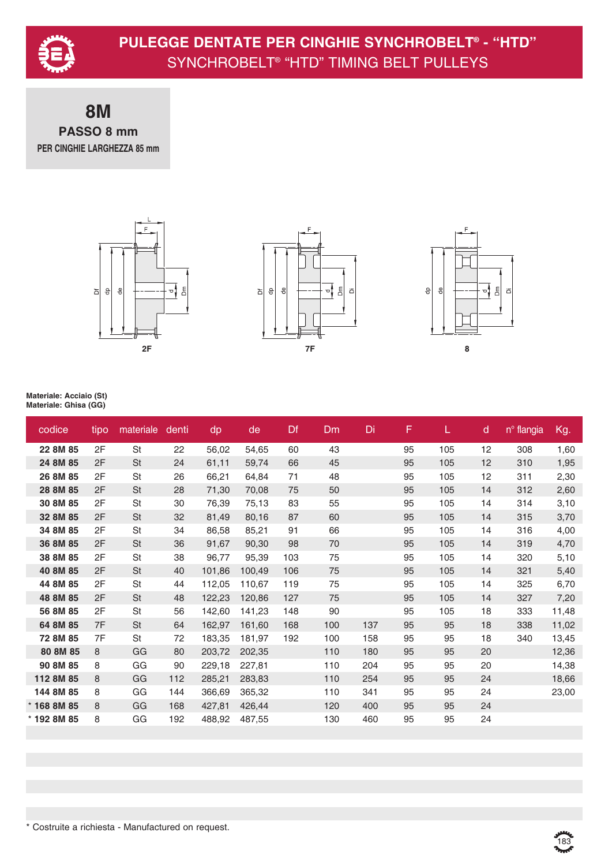

**8M PASSO 8 mm PER CINGHIE LARGHEZZA 85 mm**



| codice        | tipo | materiale | denti | dp     | de     | Df  | <b>Dm</b> | Di  | F  | L   | d  | n <sup>o</sup> flangia | Kg.   |
|---------------|------|-----------|-------|--------|--------|-----|-----------|-----|----|-----|----|------------------------|-------|
| 22 8M 85      | 2F   | <b>St</b> | 22    | 56,02  | 54,65  | 60  | 43        |     | 95 | 105 | 12 | 308                    | 1,60  |
| 24 8M 85      | 2F   | St        | 24    | 61,11  | 59,74  | 66  | 45        |     | 95 | 105 | 12 | 310                    | 1,95  |
| 26 8M 85      | 2F   | St        | 26    | 66,21  | 64,84  | 71  | 48        |     | 95 | 105 | 12 | 311                    | 2,30  |
| 28 8M 85      | 2F   | <b>St</b> | 28    | 71,30  | 70,08  | 75  | 50        |     | 95 | 105 | 14 | 312                    | 2,60  |
| 30 8M 85      | 2F   | St        | 30    | 76,39  | 75,13  | 83  | 55        |     | 95 | 105 | 14 | 314                    | 3,10  |
| 32 8M 85      | 2F   | St        | 32    | 81,49  | 80,16  | 87  | 60        |     | 95 | 105 | 14 | 315                    | 3,70  |
| 34 8M 85      | 2F   | St        | 34    | 86,58  | 85,21  | 91  | 66        |     | 95 | 105 | 14 | 316                    | 4,00  |
| 36 8M 85      | 2F   | <b>St</b> | 36    | 91,67  | 90,30  | 98  | 70        |     | 95 | 105 | 14 | 319                    | 4,70  |
| 38 8M 85      | 2F   | St        | 38    | 96,77  | 95,39  | 103 | 75        |     | 95 | 105 | 14 | 320                    | 5,10  |
| 40 8M 85      | 2F   | <b>St</b> | 40    | 101,86 | 100,49 | 106 | 75        |     | 95 | 105 | 14 | 321                    | 5,40  |
| 44 8M 85      | 2F   | St        | 44    | 112,05 | 110,67 | 119 | 75        |     | 95 | 105 | 14 | 325                    | 6,70  |
| 48 8M 85      | 2F   | <b>St</b> | 48    | 122,23 | 120,86 | 127 | 75        |     | 95 | 105 | 14 | 327                    | 7,20  |
| 56 8M 85      | 2F   | St        | 56    | 142,60 | 141,23 | 148 | 90        |     | 95 | 105 | 18 | 333                    | 11,48 |
| 64 8M 85      | 7F   | <b>St</b> | 64    | 162,97 | 161,60 | 168 | 100       | 137 | 95 | 95  | 18 | 338                    | 11,02 |
| 72 8M 85      | 7F   | <b>St</b> | 72    | 183,35 | 181,97 | 192 | 100       | 158 | 95 | 95  | 18 | 340                    | 13,45 |
| 80 8M 85      | 8    | GG        | 80    | 203,72 | 202,35 |     | 110       | 180 | 95 | 95  | 20 |                        | 12,36 |
| 90 8M 85      | 8    | GG        | 90    | 229,18 | 227,81 |     | 110       | 204 | 95 | 95  | 20 |                        | 14,38 |
| 112 8M 85     | 8    | GG        | 112   | 285,21 | 283,83 |     | 110       | 254 | 95 | 95  | 24 |                        | 18,66 |
| 144 8M 85     | 8    | GG        | 144   | 366,69 | 365,32 |     | 110       | 341 | 95 | 95  | 24 |                        | 23,00 |
| $*$ 168 8M 85 | 8    | GG        | 168   | 427,81 | 426,44 |     | 120       | 400 | 95 | 95  | 24 |                        |       |
| * 192 8M 85   | 8    | GG        | 192   | 488,92 | 487,55 |     | 130       | 460 | 95 | 95  | 24 |                        |       |
|               |      |           |       |        |        |     |           |     |    |     |    |                        |       |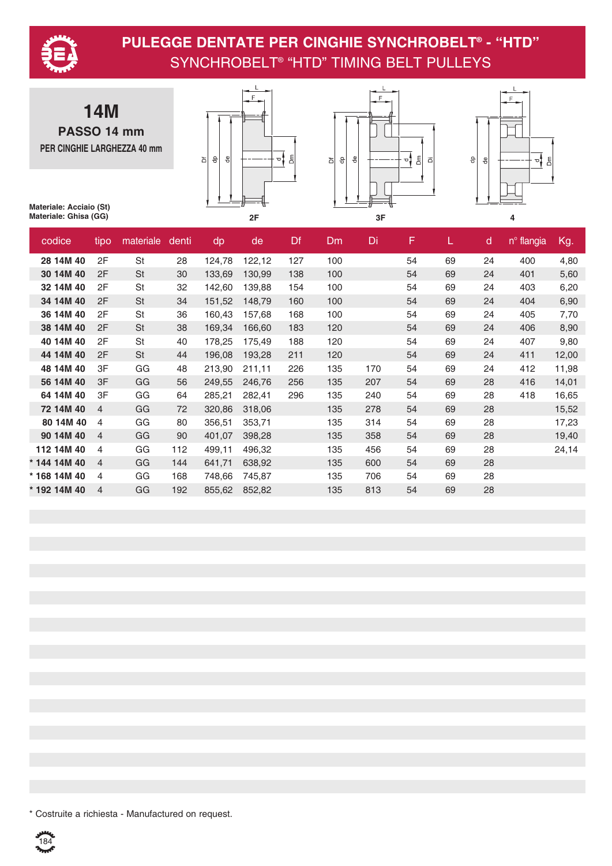

**14M PASSO 14 mm PER CINGHIE LARGHEZZA 40 mm**







**Materiale: Acciaio (St) Materiale: Ghisa (GG)**

| codice       | tipo           | materiale | denti | dp     | de     | Df  | Dm  | Di  | F  | L. | $\mathsf{d}$ | n <sup>o</sup> flangia | Kg.   |
|--------------|----------------|-----------|-------|--------|--------|-----|-----|-----|----|----|--------------|------------------------|-------|
| 28 14M 40    | 2F             | <b>St</b> | 28    | 124,78 | 122,12 | 127 | 100 |     | 54 | 69 | 24           | 400                    | 4,80  |
| 30 14M 40    | 2F             | St        | 30    | 133,69 | 130,99 | 138 | 100 |     | 54 | 69 | 24           | 401                    | 5,60  |
| 32 14M 40    | 2F             | St        | 32    | 142,60 | 139,88 | 154 | 100 |     | 54 | 69 | 24           | 403                    | 6,20  |
| 34 14M 40    | 2F             | St        | 34    | 151,52 | 148,79 | 160 | 100 |     | 54 | 69 | 24           | 404                    | 6,90  |
| 36 14M 40    | 2F             | St        | 36    | 160,43 | 157,68 | 168 | 100 |     | 54 | 69 | 24           | 405                    | 7,70  |
| 38 14M 40    | 2F             | St        | 38    | 169,34 | 166,60 | 183 | 120 |     | 54 | 69 | 24           | 406                    | 8,90  |
| 40 14M 40    | 2F             | St        | 40    | 178,25 | 175,49 | 188 | 120 |     | 54 | 69 | 24           | 407                    | 9,80  |
| 44 14M 40    | 2F             | St        | 44    | 196,08 | 193,28 | 211 | 120 |     | 54 | 69 | 24           | 411                    | 12,00 |
| 48 14M 40    | 3F             | GG        | 48    | 213,90 | 211,11 | 226 | 135 | 170 | 54 | 69 | 24           | 412                    | 11,98 |
| 56 14M 40    | 3F             | GG        | 56    | 249,55 | 246,76 | 256 | 135 | 207 | 54 | 69 | 28           | 416                    | 14,01 |
| 64 14M 40    | 3F             | GG        | 64    | 285,21 | 282,41 | 296 | 135 | 240 | 54 | 69 | 28           | 418                    | 16,65 |
| 72 14M 40    | $\overline{4}$ | GG        | 72    | 320,86 | 318,06 |     | 135 | 278 | 54 | 69 | 28           |                        | 15,52 |
| 80 14M 40    | 4              | GG        | 80    | 356,51 | 353,71 |     | 135 | 314 | 54 | 69 | 28           |                        | 17,23 |
| 90 14M 40    | 4              | GG        | 90    | 401,07 | 398,28 |     | 135 | 358 | 54 | 69 | 28           |                        | 19,40 |
| 112 14M 40   | 4              | GG        | 112   | 499,11 | 496,32 |     | 135 | 456 | 54 | 69 | 28           |                        | 24,14 |
| * 144 14M 40 | 4              | GG        | 144   | 641,71 | 638,92 |     | 135 | 600 | 54 | 69 | 28           |                        |       |
| * 168 14M 40 | 4              | GG        | 168   | 748,66 | 745,87 |     | 135 | 706 | 54 | 69 | 28           |                        |       |
| * 192 14M 40 | $\overline{4}$ | GG        | 192   | 855,62 | 852,82 |     | 135 | 813 | 54 | 69 | 28           |                        |       |

\* Costruite a richiesta - Manufactured on request.

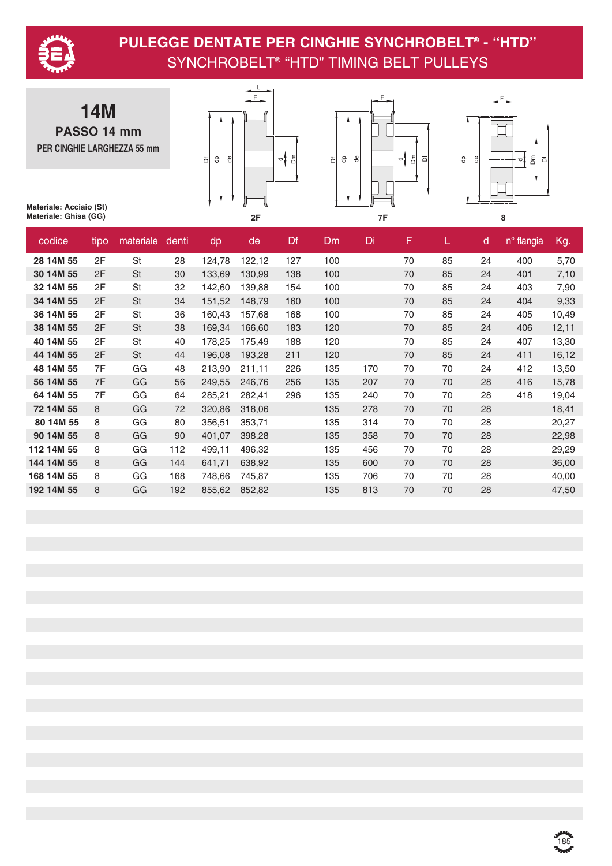

**14M PASSO 14 mm PER CINGHIE LARGHEZZA 55 mm**







**Materiale: Acciaio (St) Materiale: Ghisa (GG)**

| codice     | tipo | materiale | denti | dp     | de     | Df  | <b>Dm</b> | Di  | F  | L. | d  | n <sup>o</sup> flangia | Kg.   |
|------------|------|-----------|-------|--------|--------|-----|-----------|-----|----|----|----|------------------------|-------|
| 28 14M 55  | 2F   | <b>St</b> | 28    | 124,78 | 122,12 | 127 | 100       |     | 70 | 85 | 24 | 400                    | 5,70  |
| 30 14M 55  | 2F   | <b>St</b> | 30    | 133,69 | 130,99 | 138 | 100       |     | 70 | 85 | 24 | 401                    | 7,10  |
| 32 14M 55  | 2F   | <b>St</b> | 32    | 142,60 | 139,88 | 154 | 100       |     | 70 | 85 | 24 | 403                    | 7,90  |
| 34 14M 55  | 2F   | <b>St</b> | 34    | 151,52 | 148,79 | 160 | 100       |     | 70 | 85 | 24 | 404                    | 9,33  |
| 36 14M 55  | 2F   | St        | 36    | 160,43 | 157,68 | 168 | 100       |     | 70 | 85 | 24 | 405                    | 10,49 |
| 38 14M 55  | 2F   | <b>St</b> | 38    | 169,34 | 166,60 | 183 | 120       |     | 70 | 85 | 24 | 406                    | 12,11 |
| 40 14M 55  | 2F   | St        | 40    | 178,25 | 175,49 | 188 | 120       |     | 70 | 85 | 24 | 407                    | 13,30 |
| 44 14M 55  | 2F   | <b>St</b> | 44    | 196,08 | 193,28 | 211 | 120       |     | 70 | 85 | 24 | 411                    | 16,12 |
| 48 14M 55  | 7F   | GG        | 48    | 213,90 | 211,11 | 226 | 135       | 170 | 70 | 70 | 24 | 412                    | 13,50 |
| 56 14M 55  | 7F   | GG        | 56    | 249,55 | 246,76 | 256 | 135       | 207 | 70 | 70 | 28 | 416                    | 15,78 |
| 64 14M 55  | 7F   | GG        | 64    | 285,21 | 282,41 | 296 | 135       | 240 | 70 | 70 | 28 | 418                    | 19,04 |
| 72 14M 55  | 8    | GG        | 72    | 320,86 | 318,06 |     | 135       | 278 | 70 | 70 | 28 |                        | 18,41 |
| 80 14M 55  | 8    | GG        | 80    | 356,51 | 353,71 |     | 135       | 314 | 70 | 70 | 28 |                        | 20,27 |
| 90 14M 55  | 8    | GG        | 90    | 401,07 | 398,28 |     | 135       | 358 | 70 | 70 | 28 |                        | 22,98 |
| 112 14M 55 | 8    | GG        | 112   | 499,11 | 496,32 |     | 135       | 456 | 70 | 70 | 28 |                        | 29,29 |
| 144 14M 55 | 8    | GG        | 144   | 641,71 | 638,92 |     | 135       | 600 | 70 | 70 | 28 |                        | 36,00 |
| 168 14M 55 | 8    | GG        | 168   | 748,66 | 745,87 |     | 135       | 706 | 70 | 70 | 28 |                        | 40,00 |
| 192 14M 55 | 8    | GG        | 192   | 855,62 | 852,82 |     | 135       | 813 | 70 | 70 | 28 |                        | 47,50 |

ي<br>185<br>**مبير**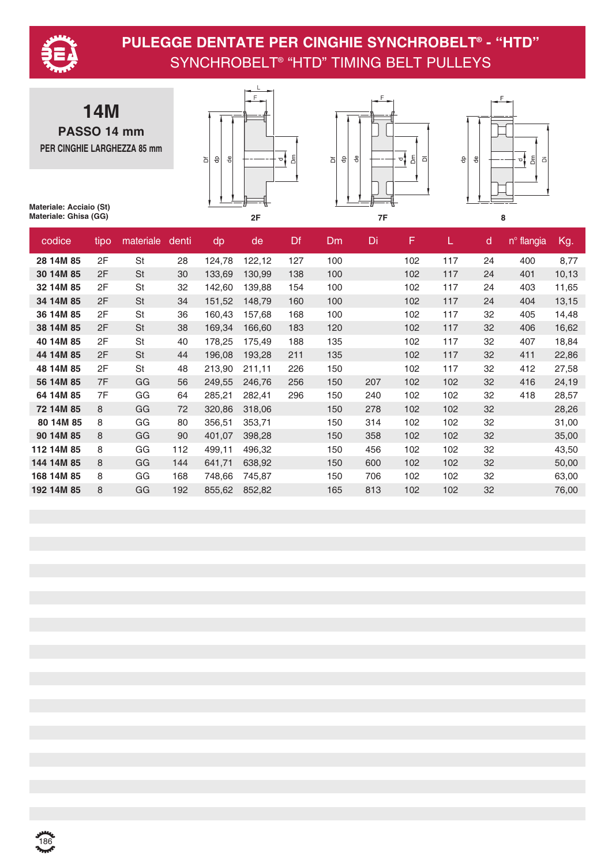

**14M PASSO 14 mm PER CINGHIE LARGHEZZA 85 mm**







| codice     | tipo | materiale | denti | dp     | de     | Df  | Dm  | Di  | F   | L.  | $\mathsf{d}$ | nº flangia | Kg.   |
|------------|------|-----------|-------|--------|--------|-----|-----|-----|-----|-----|--------------|------------|-------|
| 28 14M 85  | 2F   | <b>St</b> | 28    | 124,78 | 122,12 | 127 | 100 |     | 102 | 117 | 24           | 400        | 8,77  |
| 30 14M 85  | 2F   | <b>St</b> | 30    | 133,69 | 130,99 | 138 | 100 |     | 102 | 117 | 24           | 401        | 10,13 |
| 32 14M 85  | 2F   | St        | 32    | 142,60 | 139,88 | 154 | 100 |     | 102 | 117 | 24           | 403        | 11,65 |
| 34 14M 85  | 2F   | <b>St</b> | 34    | 151,52 | 148,79 | 160 | 100 |     | 102 | 117 | 24           | 404        | 13,15 |
| 36 14M 85  | 2F   | <b>St</b> | 36    | 160,43 | 157,68 | 168 | 100 |     | 102 | 117 | 32           | 405        | 14,48 |
| 38 14M 85  | 2F   | <b>St</b> | 38    | 169,34 | 166,60 | 183 | 120 |     | 102 | 117 | 32           | 406        | 16,62 |
| 40 14M 85  | 2F   | St        | 40    | 178,25 | 175,49 | 188 | 135 |     | 102 | 117 | 32           | 407        | 18,84 |
| 44 14M 85  | 2F   | St        | 44    | 196,08 | 193,28 | 211 | 135 |     | 102 | 117 | 32           | 411        | 22,86 |
| 48 14M 85  | 2F   | St        | 48    | 213,90 | 211,11 | 226 | 150 |     | 102 | 117 | 32           | 412        | 27,58 |
| 56 14M 85  | 7F   | GG        | 56    | 249,55 | 246,76 | 256 | 150 | 207 | 102 | 102 | 32           | 416        | 24,19 |
| 64 14M 85  | 7F   | GG        | 64    | 285,21 | 282,41 | 296 | 150 | 240 | 102 | 102 | 32           | 418        | 28,57 |
| 72 14M 85  | 8    | GG        | 72    | 320,86 | 318,06 |     | 150 | 278 | 102 | 102 | 32           |            | 28,26 |
| 80 14M 85  | 8    | GG        | 80    | 356,51 | 353,71 |     | 150 | 314 | 102 | 102 | 32           |            | 31,00 |
| 90 14M 85  | 8    | GG        | 90    | 401,07 | 398,28 |     | 150 | 358 | 102 | 102 | 32           |            | 35,00 |
| 112 14M 85 | 8    | GG        | 112   | 499,11 | 496,32 |     | 150 | 456 | 102 | 102 | 32           |            | 43,50 |
| 144 14M 85 | 8    | GG        | 144   | 641,71 | 638,92 |     | 150 | 600 | 102 | 102 | 32           |            | 50,00 |
| 168 14M 85 | 8    | GG        | 168   | 748,66 | 745,87 |     | 150 | 706 | 102 | 102 | 32           |            | 63,00 |
| 192 14M 85 | 8    | GG        | 192   | 855,62 | 852,82 |     | 165 | 813 | 102 | 102 | 32           |            | 76,00 |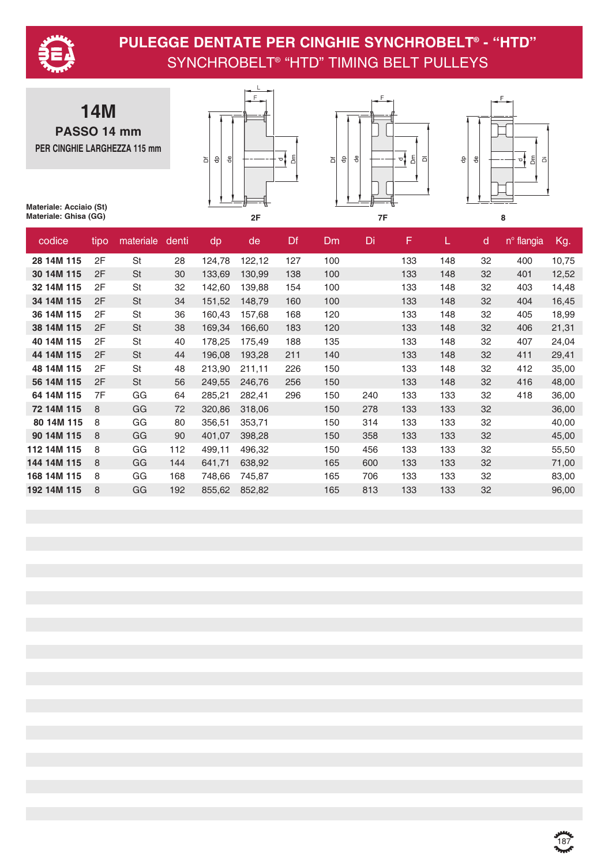

**14M PASSO 14 mm PER CINGHIE LARGHEZZA 115 mm**







| codice      | tipo | materiale | denti | dp     | de     | Df  | Dm  | Di  | F   | L.  | $\mathsf{d}$ | nº flangia | Kg.   |
|-------------|------|-----------|-------|--------|--------|-----|-----|-----|-----|-----|--------------|------------|-------|
| 28 14M 115  | 2F   | <b>St</b> | 28    | 124,78 | 122,12 | 127 | 100 |     | 133 | 148 | 32           | 400        | 10,75 |
| 30 14M 115  | 2F   | <b>St</b> | 30    | 133,69 | 130,99 | 138 | 100 |     | 133 | 148 | 32           | 401        | 12,52 |
| 32 14M 115  | 2F   | St        | 32    | 142,60 | 139,88 | 154 | 100 |     | 133 | 148 | 32           | 403        | 14,48 |
| 34 14M 115  | 2F   | <b>St</b> | 34    | 151,52 | 148,79 | 160 | 100 |     | 133 | 148 | 32           | 404        | 16,45 |
| 36 14M 115  | 2F   | St        | 36    | 160,43 | 157,68 | 168 | 120 |     | 133 | 148 | 32           | 405        | 18,99 |
| 38 14M 115  | 2F   | <b>St</b> | 38    | 169,34 | 166,60 | 183 | 120 |     | 133 | 148 | 32           | 406        | 21,31 |
| 40 14M 115  | 2F   | St        | 40    | 178,25 | 175,49 | 188 | 135 |     | 133 | 148 | 32           | 407        | 24,04 |
| 44 14M 115  | 2F   | <b>St</b> | 44    | 196,08 | 193,28 | 211 | 140 |     | 133 | 148 | 32           | 411        | 29,41 |
| 48 14M 115  | 2F   | St        | 48    | 213,90 | 211,11 | 226 | 150 |     | 133 | 148 | 32           | 412        | 35,00 |
| 56 14M 115  | 2F   | <b>St</b> | 56    | 249,55 | 246,76 | 256 | 150 |     | 133 | 148 | 32           | 416        | 48,00 |
| 64 14M 115  | 7F   | GG        | 64    | 285,21 | 282,41 | 296 | 150 | 240 | 133 | 133 | 32           | 418        | 36,00 |
| 72 14M 115  | 8    | GG        | 72    | 320,86 | 318,06 |     | 150 | 278 | 133 | 133 | 32           |            | 36,00 |
| 80 14M 115  | 8    | GG        | 80    | 356,51 | 353,71 |     | 150 | 314 | 133 | 133 | 32           |            | 40,00 |
| 90 14M 115  | 8    | GG        | 90    | 401,07 | 398,28 |     | 150 | 358 | 133 | 133 | 32           |            | 45,00 |
| 112 14M 115 | 8    | GG        | 112   | 499,11 | 496,32 |     | 150 | 456 | 133 | 133 | 32           |            | 55,50 |
| 144 14M 115 | 8    | GG        | 144   | 641,71 | 638,92 |     | 165 | 600 | 133 | 133 | 32           |            | 71,00 |
| 168 14M 115 | 8    | GG        | 168   | 748,66 | 745,87 |     | 165 | 706 | 133 | 133 | 32           |            | 83,00 |
| 192 14M 115 | 8    | GG        | 192   | 855,62 | 852,82 |     | 165 | 813 | 133 | 133 | 32           |            | 96,00 |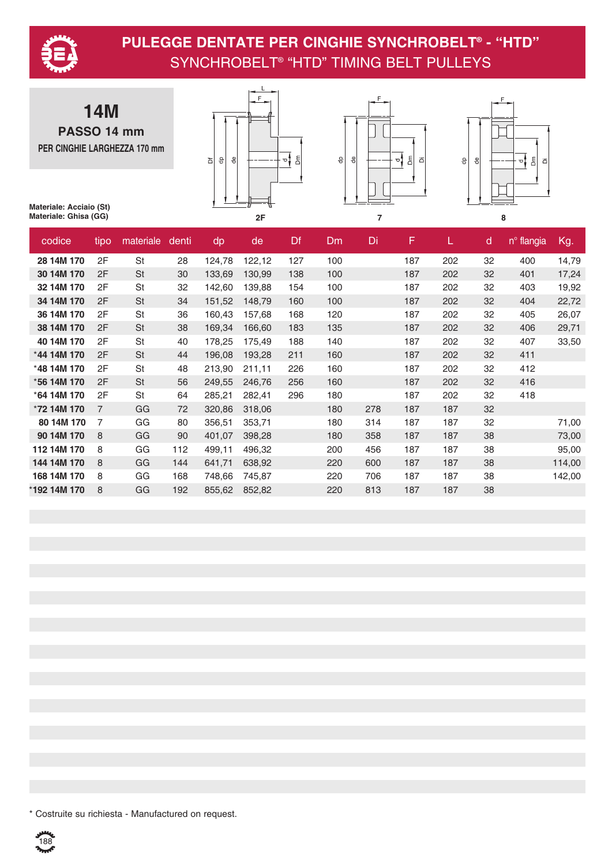

**14M PASSO 14 mm PER CINGHIE LARGHEZZA 170 mm**







**Materiale: Acciaio (St) Materiale: Ghisa (GG)**

| codice       | tipo           | materiale | denti | dp     | de     | Df  | <b>Dm</b> | Di  | F   | L.  | $\mathsf{d}$ | n <sup>°</sup> flangia | Kg.    |
|--------------|----------------|-----------|-------|--------|--------|-----|-----------|-----|-----|-----|--------------|------------------------|--------|
| 28 14M 170   | 2F             | <b>St</b> | 28    | 124,78 | 122,12 | 127 | 100       |     | 187 | 202 | 32           | 400                    | 14,79  |
| 30 14M 170   | 2F             | St        | 30    | 133,69 | 130,99 | 138 | 100       |     | 187 | 202 | 32           | 401                    | 17,24  |
| 32 14M 170   | 2F             | <b>St</b> | 32    | 142,60 | 139,88 | 154 | 100       |     | 187 | 202 | 32           | 403                    | 19,92  |
| 34 14M 170   | 2F             | <b>St</b> | 34    | 151,52 | 148,79 | 160 | 100       |     | 187 | 202 | 32           | 404                    | 22,72  |
| 36 14M 170   | 2F             | St        | 36    | 160,43 | 157,68 | 168 | 120       |     | 187 | 202 | 32           | 405                    | 26,07  |
| 38 14M 170   | 2F             | <b>St</b> | 38    | 169,34 | 166,60 | 183 | 135       |     | 187 | 202 | 32           | 406                    | 29,71  |
| 40 14M 170   | 2F             | St        | 40    | 178,25 | 175,49 | 188 | 140       |     | 187 | 202 | 32           | 407                    | 33,50  |
| *44 14M 170  | 2F             | <b>St</b> | 44    | 196,08 | 193,28 | 211 | 160       |     | 187 | 202 | 32           | 411                    |        |
| *48 14M 170  | 2F             | St        | 48    | 213,90 | 211,11 | 226 | 160       |     | 187 | 202 | 32           | 412                    |        |
| *56 14M 170  | 2F             | St        | 56    | 249,55 | 246,76 | 256 | 160       |     | 187 | 202 | 32           | 416                    |        |
| *64 14M 170  | 2F             | <b>St</b> | 64    | 285,21 | 282,41 | 296 | 180       |     | 187 | 202 | 32           | 418                    |        |
| *72 14M 170  | $\overline{7}$ | GG        | 72    | 320,86 | 318,06 |     | 180       | 278 | 187 | 187 | 32           |                        |        |
| 80 14M 170   | 7              | GG        | 80    | 356,51 | 353,71 |     | 180       | 314 | 187 | 187 | 32           |                        | 71,00  |
| 90 14M 170   | 8              | GG        | 90    | 401,07 | 398,28 |     | 180       | 358 | 187 | 187 | 38           |                        | 73,00  |
| 112 14M 170  | 8              | GG        | 112   | 499,11 | 496,32 |     | 200       | 456 | 187 | 187 | 38           |                        | 95,00  |
| 144 14M 170  | 8              | GG        | 144   | 641,71 | 638,92 |     | 220       | 600 | 187 | 187 | 38           |                        | 114,00 |
| 168 14M 170  | 8              | GG        | 168   | 748,66 | 745,87 |     | 220       | 706 | 187 | 187 | 38           |                        | 142,00 |
| *192 14M 170 | 8              | GG        | 192   | 855,62 | 852,82 |     | 220       | 813 | 187 | 187 | 38           |                        |        |

\* Costruite su richiesta - Manufactured on request.

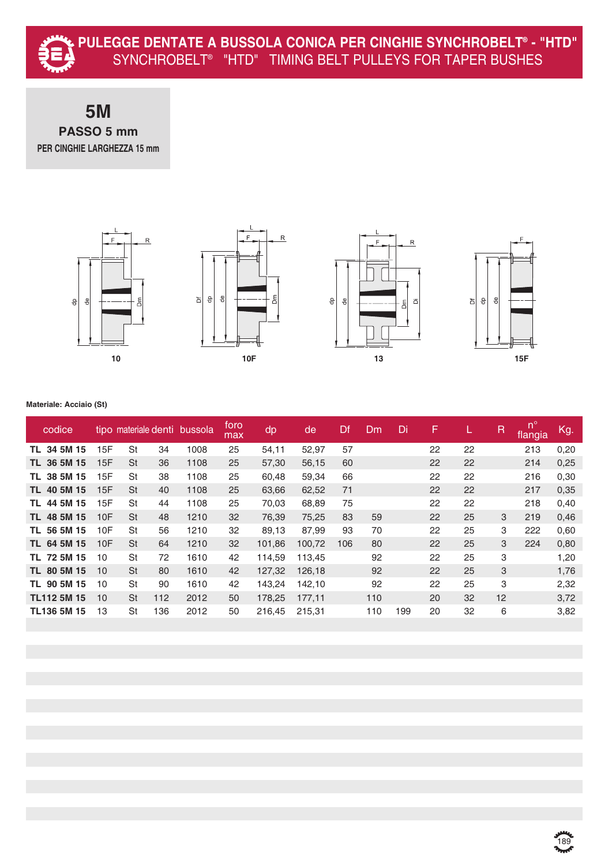

### **5M PASSO 5 mm PER CINGHIE LARGHEZZA 15 mm**



#### **Materiale: Acciaio (St)**

| codice             |     | tipo materiale denti |     | bussola | foro<br>max | dp     | de     | Df  | Dm  | Di  | F  |    | $\mathsf R$ | $n^{\circ}$<br>flangia | Kg.  |
|--------------------|-----|----------------------|-----|---------|-------------|--------|--------|-----|-----|-----|----|----|-------------|------------------------|------|
| TL 34 5M 15        | 15F | St                   | 34  | 1008    | 25          | 54,11  | 52,97  | 57  |     |     | 22 | 22 |             | 213                    | 0,20 |
| TL 36 5M 15        | 15F | <b>St</b>            | 36  | 1108    | 25          | 57,30  | 56,15  | 60  |     |     | 22 | 22 |             | 214                    | 0,25 |
| 38 5M 15<br>TL.    | 15F | St                   | 38  | 1108    | 25          | 60.48  | 59,34  | 66  |     |     | 22 | 22 |             | 216                    | 0,30 |
| 40 5M 15<br>TL.    | 15F | <b>St</b>            | 40  | 1108    | 25          | 63,66  | 62,52  | 71  |     |     | 22 | 22 |             | 217                    | 0,35 |
| TL 44 5M 15        | 15F | St                   | 44  | 1108    | 25          | 70,03  | 68,89  | 75  |     |     | 22 | 22 |             | 218                    | 0.40 |
| TL 48 5M 15        | 10F | <b>St</b>            | 48  | 1210    | 32          | 76,39  | 75,25  | 83  | 59  |     | 22 | 25 | 3           | 219                    | 0,46 |
| TL 56 5M 15        | 10F | <b>St</b>            | 56  | 1210    | 32          | 89,13  | 87,99  | 93  | 70  |     | 22 | 25 | 3           | 222                    | 0,60 |
| TL 64 5M 15        | 10F | <b>St</b>            | 64  | 1210    | 32          | 101,86 | 100,72 | 106 | 80  |     | 22 | 25 | 3           | 224                    | 0,80 |
| TL 72 5M 15        | 10  | <b>St</b>            | 72  | 1610    | 42          | 114,59 | 113,45 |     | 92  |     | 22 | 25 | 3           |                        | 1,20 |
| TL 80 5M 15        | 10  | <b>St</b>            | 80  | 1610    | 42          | 127,32 | 126,18 |     | 92  |     | 22 | 25 | 3           |                        | 1,76 |
| 90 5M 15<br>TL.    | 10  | <b>St</b>            | 90  | 1610    | 42          | 143,24 | 142,10 |     | 92  |     | 22 | 25 | 3           |                        | 2,32 |
| <b>TL112 5M 15</b> | 10  | <b>St</b>            | 112 | 2012    | 50          | 178,25 | 177.11 |     | 110 |     | 20 | 32 | 12          |                        | 3,72 |
| <b>TL136 5M 15</b> | 13  | St                   | 136 | 2012    | 50          | 216,45 | 215,31 |     | 110 | 199 | 20 | 32 | 6           |                        | 3,82 |
|                    |     |                      |     |         |             |        |        |     |     |     |    |    |             |                        |      |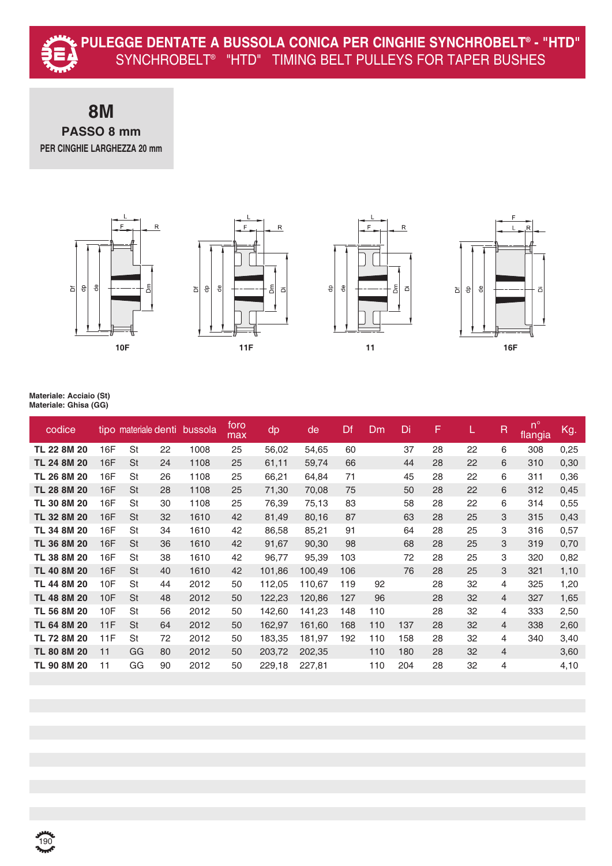#### **8M PASSO 8 mm PER CINGHIE LARGHEZZA 20 mm**









| codice      |            | tipo materiale denti |    | bussola | foro<br>max | dp     | de     | Df  | Dm  | Di  | F  |    | $\overline{R}$ | $n^{\circ}$<br>flangia | Kg.  |
|-------------|------------|----------------------|----|---------|-------------|--------|--------|-----|-----|-----|----|----|----------------|------------------------|------|
| TL 22 8M 20 | 16F        | St                   | 22 | 1008    | 25          | 56,02  | 54,65  | 60  |     | 37  | 28 | 22 | 6              | 308                    | 0,25 |
| TL 24 8M 20 | <b>16F</b> | <b>St</b>            | 24 | 1108    | 25          | 61,11  | 59,74  | 66  |     | 44  | 28 | 22 | 6              | 310                    | 0,30 |
| TL 26 8M 20 | 16F        | St                   | 26 | 1108    | 25          | 66,21  | 64,84  | 71  |     | 45  | 28 | 22 | 6              | 311                    | 0,36 |
| TL 28 8M 20 | <b>16F</b> | <b>St</b>            | 28 | 1108    | 25          | 71,30  | 70,08  | 75  |     | 50  | 28 | 22 | 6              | 312                    | 0,45 |
| TL 30 8M 20 | 16F        | <b>St</b>            | 30 | 1108    | 25          | 76,39  | 75,13  | 83  |     | 58  | 28 | 22 | 6              | 314                    | 0,55 |
| TL 32 8M 20 | 16F        | <b>St</b>            | 32 | 1610    | 42          | 81,49  | 80,16  | 87  |     | 63  | 28 | 25 | 3              | 315                    | 0,43 |
| TL 34 8M 20 | 16F        | <b>St</b>            | 34 | 1610    | 42          | 86,58  | 85,21  | 91  |     | 64  | 28 | 25 | 3              | 316                    | 0,57 |
| TL 36 8M 20 | <b>16F</b> | <b>St</b>            | 36 | 1610    | 42          | 91,67  | 90,30  | 98  |     | 68  | 28 | 25 | 3              | 319                    | 0,70 |
| TL 38 8M 20 | 16F        | <b>St</b>            | 38 | 1610    | 42          | 96,77  | 95,39  | 103 |     | 72  | 28 | 25 | 3              | 320                    | 0,82 |
| TL 40 8M 20 | <b>16F</b> | <b>St</b>            | 40 | 1610    | 42          | 101,86 | 100,49 | 106 |     | 76  | 28 | 25 | 3              | 321                    | 1,10 |
| TL 44 8M 20 | 10F        | St                   | 44 | 2012    | 50          | 112,05 | 110,67 | 119 | 92  |     | 28 | 32 | 4              | 325                    | 1,20 |
| TL 48 8M 20 | 10F        | <b>St</b>            | 48 | 2012    | 50          | 122,23 | 120,86 | 127 | 96  |     | 28 | 32 | $\overline{4}$ | 327                    | 1,65 |
| TL 56 8M 20 | 10F        | St                   | 56 | 2012    | 50          | 142,60 | 141,23 | 148 | 110 |     | 28 | 32 | 4              | 333                    | 2,50 |
| TL 64 8M 20 | 11F        | <b>St</b>            | 64 | 2012    | 50          | 162,97 | 161,60 | 168 | 110 | 137 | 28 | 32 | 4              | 338                    | 2,60 |
| TL 72 8M 20 | 11F        | St                   | 72 | 2012    | 50          | 183,35 | 181,97 | 192 | 110 | 158 | 28 | 32 | $\overline{4}$ | 340                    | 3,40 |
| TL 80 8M 20 | 11         | GG                   | 80 | 2012    | 50          | 203,72 | 202,35 |     | 110 | 180 | 28 | 32 | $\overline{4}$ |                        | 3,60 |
| TL 90 8M 20 | 11         | GG                   | 90 | 2012    | 50          | 229,18 | 227,81 |     | 110 | 204 | 28 | 32 | $\overline{4}$ |                        | 4,10 |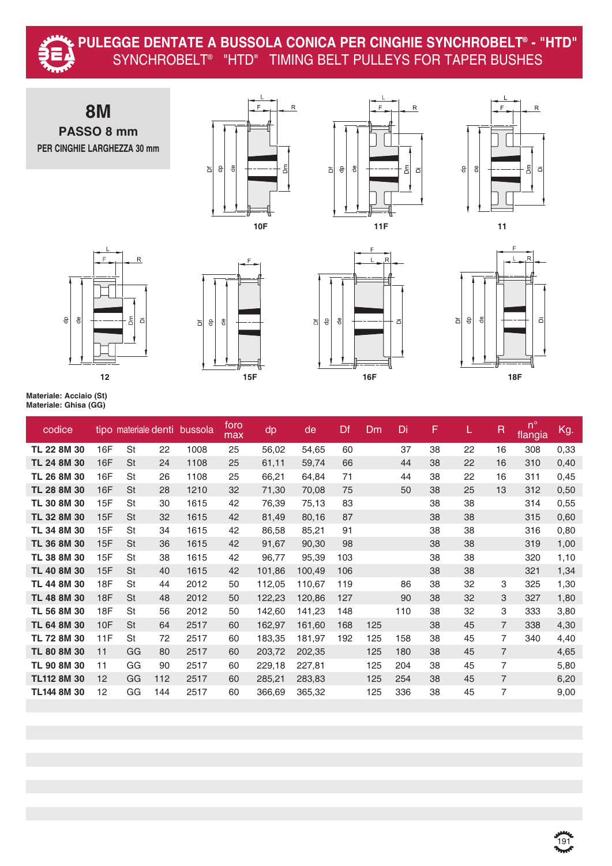

#### **PULEGGE DENTATE A BUSSOLA CONICA PER CINGHIE SYNCHROBELT® - "HTD"** SYNCHROBELT® "HTD" TIMING BELT PULLEYS FOR TAPER BUSHES



**TL 48 8M 30** 18F St 48 2012 50 122,23 120,86 127 90 38 32 3 327 1,80 **TL 56 8M 30** 18F St 56 2012 50 142,60 141,23 148 110 38 32 3 333 3,80 **TL 64 8M 30** 10F St 64 2517 60 162,97 161,60 168 125 38 45 7 338 4,30 **TL 72 8M 30** 11F St 72 2517 60 183,35 181,97 192 125 158 38 45 7 340 4,40 **TL 80 8M 30** 11 GG 80 2517 60 203,72 202,35 125 180 38 45 7 4,65 **TL 90 8M 30** 11 GG 90 2517 60 229,18 227,81 125 204 38 45 7 5,80 **TL112 8M 30** 12 GG 112 2517 60 285,21 283,83 125 254 38 45 7 6,20 **TL144 8M 30** 12 GG 144 2517 60 366,69 365,32 125 336 38 45 7 9,00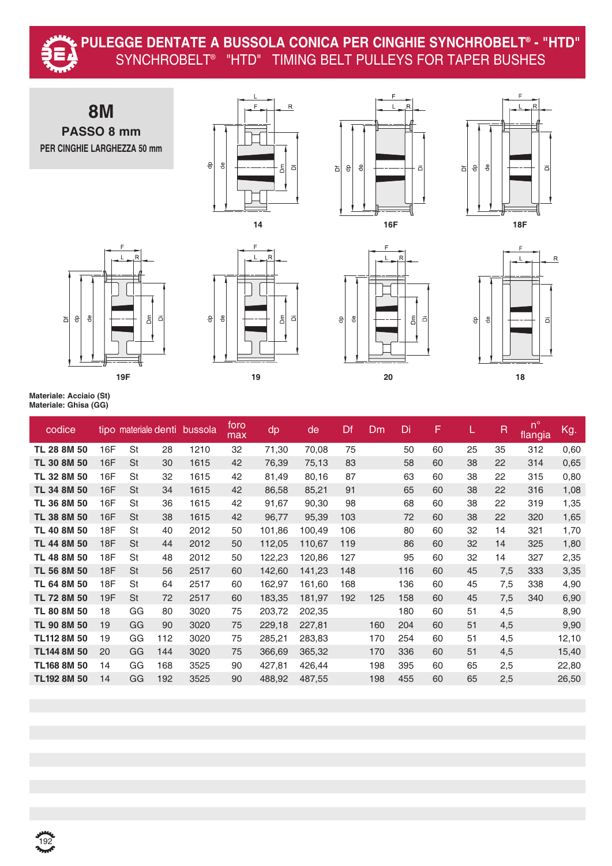

#### **PULEGGE DENTATE A BUSSOLA CONICA PER CINGHIE SYNCHROBELT® - "HTD"** SYNCHROBELT® "HTD" TIMING BELT PULLEYS FOR TAPER BUSHES

















| codice             |            | tipo materiale denti |     | bussola | foro<br>max | dp     | de     | Df  | Dm  | Di  | F  | L. | R   | $n^{\circ}$<br>flangia | Kg.   |
|--------------------|------------|----------------------|-----|---------|-------------|--------|--------|-----|-----|-----|----|----|-----|------------------------|-------|
| TL 28 8M 50        | 16F        | St                   | 28  | 1210    | 32          | 71,30  | 70,08  | 75  |     | 50  | 60 | 25 | 35  | 312                    | 0,60  |
| TL 30 8M 50        | 16F        | <b>St</b>            | 30  | 1615    | 42          | 76,39  | 75,13  | 83  |     | 58  | 60 | 38 | 22  | 314                    | 0,65  |
| TL 32 8M 50        | 16F        | St                   | 32  | 1615    | 42          | 81,49  | 80,16  | 87  |     | 63  | 60 | 38 | 22  | 315                    | 0,80  |
| TL 34 8M 50        | 16F        | St                   | 34  | 1615    | 42          | 86,58  | 85,21  | 91  |     | 65  | 60 | 38 | 22  | 316                    | 1,08  |
| TL 36 8M 50        | 16F        | <b>St</b>            | 36  | 1615    | 42          | 91,67  | 90,30  | 98  |     | 68  | 60 | 38 | 22  | 319                    | 1,35  |
| TL 38 8M 50        | 16F        | <b>St</b>            | 38  | 1615    | 42          | 96,77  | 95,39  | 103 |     | 72  | 60 | 38 | 22  | 320                    | 1,65  |
| TL 40 8M 50        | 18F        | St                   | 40  | 2012    | 50          | 101,86 | 100,49 | 106 |     | 80  | 60 | 32 | 14  | 321                    | 1,70  |
| TL 44 8M 50        | <b>18F</b> | <b>St</b>            | 44  | 2012    | 50          | 112,05 | 110,67 | 119 |     | 86  | 60 | 32 | 14  | 325                    | 1,80  |
| TL 48 8M 50        | 18F        | St                   | 48  | 2012    | 50          | 122,23 | 120,86 | 127 |     | 95  | 60 | 32 | 14  | 327                    | 2,35  |
| TL 56 8M 50        | 18F        | St                   | 56  | 2517    | 60          | 142,60 | 141,23 | 148 |     | 116 | 60 | 45 | 7,5 | 333                    | 3,35  |
| TL 64 8M 50        | 18F        | <b>St</b>            | 64  | 2517    | 60          | 162,97 | 161,60 | 168 |     | 136 | 60 | 45 | 7,5 | 338                    | 4,90  |
| TL 72 8M 50        | 19F        | St                   | 72  | 2517    | 60          | 183,35 | 181,97 | 192 | 125 | 158 | 60 | 45 | 7,5 | 340                    | 6,90  |
| TL 80 8M 50        | 18         | GG                   | 80  | 3020    | 75          | 203,72 | 202,35 |     |     | 180 | 60 | 51 | 4,5 |                        | 8,90  |
| TL 90 8M 50        | 19         | GG                   | 90  | 3020    | 75          | 229,18 | 227,81 |     | 160 | 204 | 60 | 51 | 4,5 |                        | 9,90  |
| <b>TL112 8M 50</b> | 19         | GG                   | 112 | 3020    | 75          | 285,21 | 283,83 |     | 170 | 254 | 60 | 51 | 4,5 |                        | 12,10 |
| <b>TL144 8M 50</b> | 20         | GG                   | 144 | 3020    | 75          | 366,69 | 365,32 |     | 170 | 336 | 60 | 51 | 4,5 |                        | 15,40 |
| <b>TL168 8M 50</b> | 14         | GG                   | 168 | 3525    | 90          | 427,81 | 426,44 |     | 198 | 395 | 60 | 65 | 2,5 |                        | 22,80 |
| TL192 8M 50        | 14         | GG                   | 192 | 3525    | 90          | 488,92 | 487,55 |     | 198 | 455 | 60 | 65 | 2,5 |                        | 26,50 |
|                    |            |                      |     |         |             |        |        |     |     |     |    |    |     |                        |       |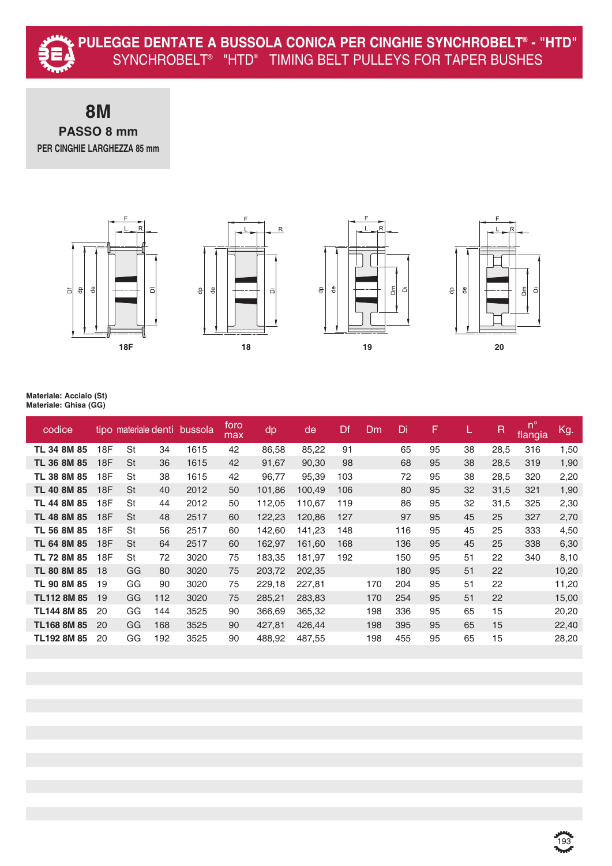

**8M PASSO 8 mm PER CINGHIE LARGHEZZA 85 mm**









| codice             |     | tipo materiale denti |     | bussola | foro<br>max | dp     | de     | Df  | Dm  | Di  | F  |    | $\mathsf R$ | $n^{\circ}$<br>flangia | Kg.   |
|--------------------|-----|----------------------|-----|---------|-------------|--------|--------|-----|-----|-----|----|----|-------------|------------------------|-------|
| TL 34 8M 85        | 18F | <b>St</b>            | 34  | 1615    | 42          | 86,58  | 85,22  | 91  |     | 65  | 95 | 38 | 28,5        | 316                    | 1,50  |
| TL 36 8M 85        | 18F | <b>St</b>            | 36  | 1615    | 42          | 91,67  | 90,30  | 98  |     | 68  | 95 | 38 | 28,5        | 319                    | 1,90  |
| TL 38 8M 85        | 18F | St                   | 38  | 1615    | 42          | 96,77  | 95,39  | 103 |     | 72  | 95 | 38 | 28,5        | 320                    | 2,20  |
| TL 40 8M 85        | 18F | <b>St</b>            | 40  | 2012    | 50          | 101,86 | 100,49 | 106 |     | 80  | 95 | 32 | 31,5        | 321                    | 1,90  |
| TL 44 8M 85        | 18F | <b>St</b>            | 44  | 2012    | 50          | 112,05 | 110,67 | 119 |     | 86  | 95 | 32 | 31,5        | 325                    | 2,30  |
| TL 48 8M 85        | 18F | St                   | 48  | 2517    | 60          | 122,23 | 120,86 | 127 |     | 97  | 95 | 45 | 25          | 327                    | 2,70  |
| TL 56 8M 85        | 18F | St                   | 56  | 2517    | 60          | 142,60 | 141,23 | 148 |     | 116 | 95 | 45 | 25          | 333                    | 4,50  |
| TL 64 8M 85        | 18F | <b>St</b>            | 64  | 2517    | 60          | 162,97 | 161,60 | 168 |     | 136 | 95 | 45 | 25          | 338                    | 6,30  |
| TL 72 8M 85        | 18F | St                   | 72  | 3020    | 75          | 183,35 | 181,97 | 192 |     | 150 | 95 | 51 | 22          | 340                    | 8,10  |
| TL 80 8M 85        | 18  | GG                   | 80  | 3020    | 75          | 203,72 | 202,35 |     |     | 180 | 95 | 51 | 22          |                        | 10,20 |
| TL 90 8M 85        | 19  | GG                   | 90  | 3020    | 75          | 229,18 | 227,81 |     | 170 | 204 | 95 | 51 | 22          |                        | 11,20 |
| <b>TL112 8M 85</b> | 19  | GG                   | 112 | 3020    | 75          | 285,21 | 283,83 |     | 170 | 254 | 95 | 51 | 22          |                        | 15,00 |
| TL144 8M 85        | 20  | GG                   | 144 | 3525    | 90          | 366,69 | 365,32 |     | 198 | 336 | 95 | 65 | 15          |                        | 20,20 |
| <b>TL168 8M 85</b> | 20  | GG                   | 168 | 3525    | 90          | 427,81 | 426,44 |     | 198 | 395 | 95 | 65 | 15          |                        | 22,40 |
| TL192 8M 85        | 20  | GG                   | 192 | 3525    | 90          | 488,92 | 487,55 |     | 198 | 455 | 95 | 65 | 15          |                        | 28,20 |
|                    |     |                      |     |         |             |        |        |     |     |     |    |    |             |                        |       |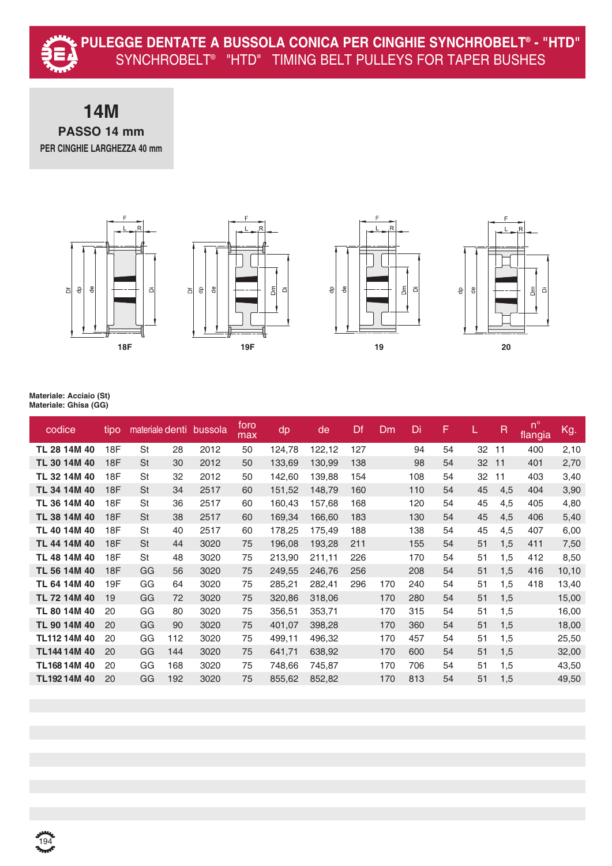#### **14M PASSO 14 mm PER CINGHIE LARGHEZZA 40 mm**









| codice       | tipo |           |     | materiale denti bussola | foro<br>max | dp     | de     | Df  | Dm  | Di  | F  |    | $\mathsf R$ | $n^{\circ}$<br>flangia | Kg.    |
|--------------|------|-----------|-----|-------------------------|-------------|--------|--------|-----|-----|-----|----|----|-------------|------------------------|--------|
| TL 28 14M 40 | 18F  | St        | 28  | 2012                    | 50          | 124,78 | 122,12 | 127 |     | 94  | 54 | 32 | 11          | 400                    | 2,10   |
| TL 30 14M 40 | 18F  | <b>St</b> | 30  | 2012                    | 50          | 133,69 | 130,99 | 138 |     | 98  | 54 | 32 | 11          | 401                    | 2,70   |
| TL 32 14M 40 | 18F  | St        | 32  | 2012                    | 50          | 142,60 | 139,88 | 154 |     | 108 | 54 | 32 | 11          | 403                    | 3,40   |
| TL 34 14M 40 | 18F  | <b>St</b> | 34  | 2517                    | 60          | 151,52 | 148,79 | 160 |     | 110 | 54 | 45 | 4,5         | 404                    | 3,90   |
| TL 36 14M 40 | 18F  | St        | 36  | 2517                    | 60          | 160,43 | 157,68 | 168 |     | 120 | 54 | 45 | 4,5         | 405                    | 4,80   |
| TL 38 14M 40 | 18F  | <b>St</b> | 38  | 2517                    | 60          | 169,34 | 166,60 | 183 |     | 130 | 54 | 45 | 4,5         | 406                    | 5,40   |
| TL 40 14M 40 | 18F  | St        | 40  | 2517                    | 60          | 178,25 | 175,49 | 188 |     | 138 | 54 | 45 | 4,5         | 407                    | 6,00   |
| TL 44 14M 40 | 18F  | <b>St</b> | 44  | 3020                    | 75          | 196,08 | 193,28 | 211 |     | 155 | 54 | 51 | 1,5         | 411                    | 7,50   |
| TL 48 14M 40 | 18F  | St        | 48  | 3020                    | 75          | 213,90 | 211,11 | 226 |     | 170 | 54 | 51 | 1,5         | 412                    | 8,50   |
| TL 56 14M 40 | 18F  | GG        | 56  | 3020                    | 75          | 249,55 | 246,76 | 256 |     | 208 | 54 | 51 | 1,5         | 416                    | 10, 10 |
| TL 64 14M 40 | 19F  | GG        | 64  | 3020                    | 75          | 285,21 | 282,41 | 296 | 170 | 240 | 54 | 51 | 1,5         | 418                    | 13,40  |
| TL 72 14M 40 | 19   | GG        | 72  | 3020                    | 75          | 320,86 | 318,06 |     | 170 | 280 | 54 | 51 | 1,5         |                        | 15,00  |
| TL 80 14M 40 | 20   | GG        | 80  | 3020                    | 75          | 356,51 | 353,71 |     | 170 | 315 | 54 | 51 | 1,5         |                        | 16,00  |
| TL 90 14M 40 | 20   | GG        | 90  | 3020                    | 75          | 401,07 | 398,28 |     | 170 | 360 | 54 | 51 | 1,5         |                        | 18,00  |
| TL112 14M 40 | 20   | GG        | 112 | 3020                    | 75          | 499,11 | 496,32 |     | 170 | 457 | 54 | 51 | 1,5         |                        | 25,50  |
| TL144 14M 40 | 20   | GG        | 144 | 3020                    | 75          | 641,71 | 638,92 |     | 170 | 600 | 54 | 51 | 1,5         |                        | 32,00  |
| TL16814M40   | 20   | GG        | 168 | 3020                    | 75          | 748,66 | 745,87 |     | 170 | 706 | 54 | 51 | 1,5         |                        | 43,50  |
| TL19214M40   | 20   | GG        | 192 | 3020                    | 75          | 855,62 | 852,82 |     | 170 | 813 | 54 | 51 | 1,5         |                        | 49,50  |
|              |      |           |     |                         |             |        |        |     |     |     |    |    |             |                        |        |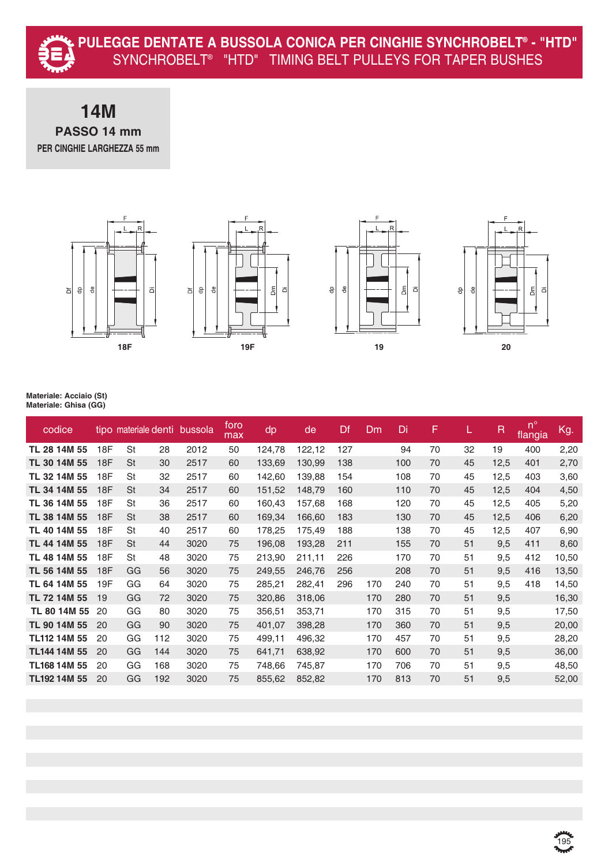

### **14M PASSO 14 mm PER CINGHIE LARGHEZZA 55 mm**









| codice       |     | tipo materiale denti |     | bussola | foro<br>max | dp     | de     | Df  | Dm  | Di  | F  |    | R    | $n^{\circ}$<br>flangia | Kg.   |
|--------------|-----|----------------------|-----|---------|-------------|--------|--------|-----|-----|-----|----|----|------|------------------------|-------|
| TL 28 14M 55 | 18F | St                   | 28  | 2012    | 50          | 124,78 | 122,12 | 127 |     | 94  | 70 | 32 | 19   | 400                    | 2,20  |
| TL 30 14M 55 | 18F | St                   | 30  | 2517    | 60          | 133,69 | 130,99 | 138 |     | 100 | 70 | 45 | 12,5 | 401                    | 2,70  |
| TL 32 14M 55 | 18F | St                   | 32  | 2517    | 60          | 142,60 | 139,88 | 154 |     | 108 | 70 | 45 | 12,5 | 403                    | 3,60  |
| TL 34 14M 55 | 18F | St                   | 34  | 2517    | 60          | 151,52 | 148,79 | 160 |     | 110 | 70 | 45 | 12,5 | 404                    | 4,50  |
| TL 36 14M 55 | 18F | St                   | 36  | 2517    | 60          | 160,43 | 157,68 | 168 |     | 120 | 70 | 45 | 12,5 | 405                    | 5,20  |
| TL 38 14M 55 | 18F | St                   | 38  | 2517    | 60          | 169,34 | 166,60 | 183 |     | 130 | 70 | 45 | 12,5 | 406                    | 6,20  |
| TL 40 14M 55 | 18F | St                   | 40  | 2517    | 60          | 178,25 | 175,49 | 188 |     | 138 | 70 | 45 | 12,5 | 407                    | 6,90  |
| TL 44 14M 55 | 18F | St                   | 44  | 3020    | 75          | 196,08 | 193,28 | 211 |     | 155 | 70 | 51 | 9,5  | 411                    | 8,60  |
| TL 48 14M 55 | 18F | St                   | 48  | 3020    | 75          | 213,90 | 211,11 | 226 |     | 170 | 70 | 51 | 9,5  | 412                    | 10,50 |
| TL 56 14M 55 | 18F | GG                   | 56  | 3020    | 75          | 249,55 | 246,76 | 256 |     | 208 | 70 | 51 | 9,5  | 416                    | 13,50 |
| TL 64 14M 55 | 19F | GG                   | 64  | 3020    | 75          | 285,21 | 282,41 | 296 | 170 | 240 | 70 | 51 | 9,5  | 418                    | 14,50 |
| TL 72 14M 55 | 19  | GG                   | 72  | 3020    | 75          | 320,86 | 318,06 |     | 170 | 280 | 70 | 51 | 9,5  |                        | 16,30 |
| TL 80 14M 55 | 20  | GG                   | 80  | 3020    | 75          | 356,51 | 353,71 |     | 170 | 315 | 70 | 51 | 9,5  |                        | 17,50 |
| TL 90 14M 55 | 20  | GG                   | 90  | 3020    | 75          | 401,07 | 398,28 |     | 170 | 360 | 70 | 51 | 9,5  |                        | 20,00 |
| TL112 14M 55 | 20  | GG                   | 112 | 3020    | 75          | 499,11 | 496,32 |     | 170 | 457 | 70 | 51 | 9,5  |                        | 28,20 |
| TL144 14M 55 | 20  | GG                   | 144 | 3020    | 75          | 641,71 | 638,92 |     | 170 | 600 | 70 | 51 | 9,5  |                        | 36,00 |
| TL168 14M 55 | 20  | GG                   | 168 | 3020    | 75          | 748,66 | 745,87 |     | 170 | 706 | 70 | 51 | 9,5  |                        | 48,50 |
| TL192 14M 55 | 20  | GG                   | 192 | 3020    | 75          | 855,62 | 852,82 |     | 170 | 813 | 70 | 51 | 9,5  |                        | 52,00 |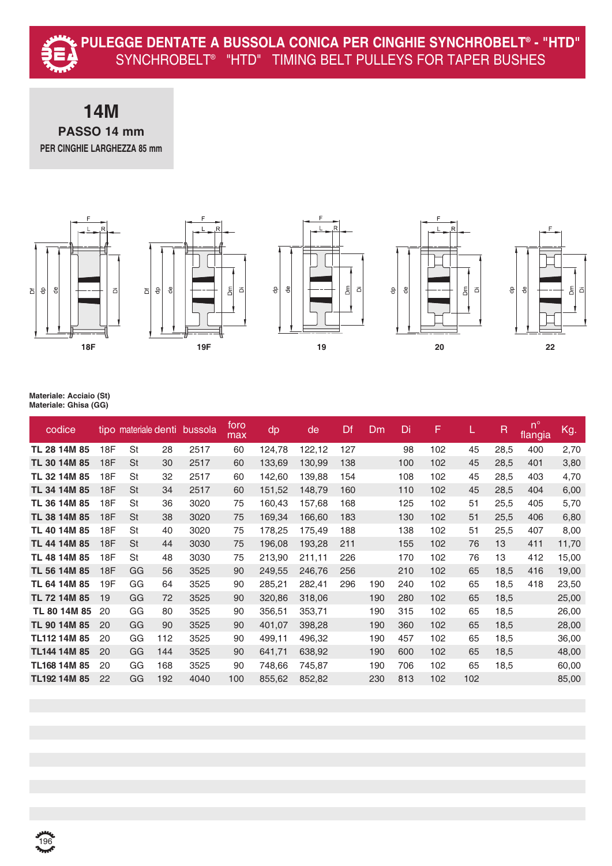#### **14M PASSO 14 mm PER CINGHIE LARGHEZZA 85 mm**



| codice       |     |           |     | tipo materiale denti bussola | foro<br>max | dp     | de     | Df  | Dm  | Di  | F   |     | R    | $\mathbf{p}$<br>flangia | Kg.   |
|--------------|-----|-----------|-----|------------------------------|-------------|--------|--------|-----|-----|-----|-----|-----|------|-------------------------|-------|
| TL 28 14M 85 | 18F | St        | 28  | 2517                         | 60          | 124,78 | 122,12 | 127 |     | 98  | 102 | 45  | 28,5 | 400                     | 2,70  |
| TL 30 14M 85 | 18F | St        | 30  | 2517                         | 60          | 133,69 | 130,99 | 138 |     | 100 | 102 | 45  | 28,5 | 401                     | 3,80  |
| TL 32 14M 85 | 18F | St        | 32  | 2517                         | 60          | 142,60 | 139,88 | 154 |     | 108 | 102 | 45  | 28,5 | 403                     | 4,70  |
| TL 34 14M 85 | 18F | St        | 34  | 2517                         | 60          | 151,52 | 148,79 | 160 |     | 110 | 102 | 45  | 28,5 | 404                     | 6,00  |
| TL 36 14M 85 | 18F | St        | 36  | 3020                         | 75          | 160,43 | 157,68 | 168 |     | 125 | 102 | 51  | 25,5 | 405                     | 5,70  |
| TL 38 14M 85 | 18F | <b>St</b> | 38  | 3020                         | 75          | 169,34 | 166,60 | 183 |     | 130 | 102 | 51  | 25,5 | 406                     | 6,80  |
| TL 40 14M 85 | 18F | St        | 40  | 3020                         | 75          | 178,25 | 175,49 | 188 |     | 138 | 102 | 51  | 25,5 | 407                     | 8,00  |
| TL 44 14M 85 | 18F | St        | 44  | 3030                         | 75          | 196,08 | 193,28 | 211 |     | 155 | 102 | 76  | 13   | 411                     | 11,70 |
| TL 48 14M 85 | 18F | St        | 48  | 3030                         | 75          | 213,90 | 211,11 | 226 |     | 170 | 102 | 76  | 13   | 412                     | 15,00 |
| TL 56 14M 85 | 18F | GG        | 56  | 3525                         | 90          | 249,55 | 246,76 | 256 |     | 210 | 102 | 65  | 18,5 | 416                     | 19,00 |
| TL 64 14M 85 | 19F | GG        | 64  | 3525                         | 90          | 285,21 | 282,41 | 296 | 190 | 240 | 102 | 65  | 18,5 | 418                     | 23,50 |
| TL 72 14M 85 | 19  | GG        | 72  | 3525                         | 90          | 320,86 | 318,06 |     | 190 | 280 | 102 | 65  | 18,5 |                         | 25,00 |
| TL 80 14M 85 | 20  | GG        | 80  | 3525                         | 90          | 356,51 | 353,71 |     | 190 | 315 | 102 | 65  | 18,5 |                         | 26,00 |
| TL 90 14M 85 | 20  | GG        | 90  | 3525                         | 90          | 401,07 | 398,28 |     | 190 | 360 | 102 | 65  | 18,5 |                         | 28,00 |
| TL112 14M 85 | 20  | GG        | 112 | 3525                         | 90          | 499,11 | 496,32 |     | 190 | 457 | 102 | 65  | 18,5 |                         | 36,00 |
| TL144 14M 85 | 20  | GG        | 144 | 3525                         | 90          | 641,71 | 638,92 |     | 190 | 600 | 102 | 65  | 18,5 |                         | 48,00 |
| TL168 14M 85 | 20  | GG        | 168 | 3525                         | 90          | 748,66 | 745,87 |     | 190 | 706 | 102 | 65  | 18,5 |                         | 60,00 |
| TL192 14M 85 | 22  | GG        | 192 | 4040                         | 100         | 855,62 | 852,82 |     | 230 | 813 | 102 | 102 |      |                         | 85,00 |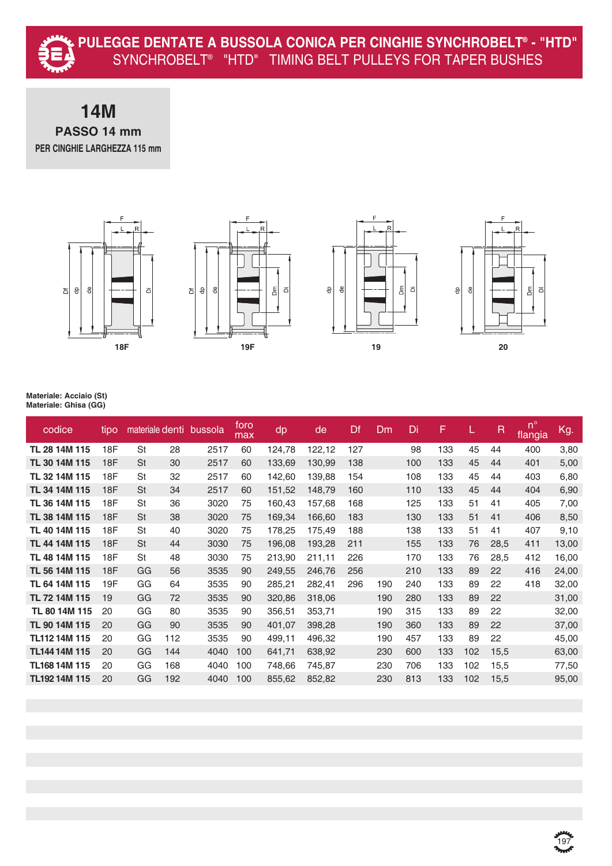

### **14M PASSO 14 mm PER CINGHIE LARGHEZZA 115 mm**









| codice               | tipo | materiale denti |     | bussola | foro<br>max | dp     | de     | Df  | Dm  | Di  | F   |     | $\mathsf R$ | $n^{\circ}$<br>flangia | Kg.   |
|----------------------|------|-----------------|-----|---------|-------------|--------|--------|-----|-----|-----|-----|-----|-------------|------------------------|-------|
| TL 28 14M 115        | 18F  | St              | 28  | 2517    | 60          | 124,78 | 122,12 | 127 |     | 98  | 133 | 45  | 44          | 400                    | 3,80  |
| TL 30 14M 115        | 18F  | <b>St</b>       | 30  | 2517    | 60          | 133,69 | 130,99 | 138 |     | 100 | 133 | 45  | 44          | 401                    | 5,00  |
| TL 32 14M 115        | 18F  | St              | 32  | 2517    | 60          | 142,60 | 139,88 | 154 |     | 108 | 133 | 45  | 44          | 403                    | 6,80  |
| TL 34 14M 115        | 18F  | <b>St</b>       | 34  | 2517    | 60          | 151,52 | 148,79 | 160 |     | 110 | 133 | 45  | 44          | 404                    | 6,90  |
| TL 36 14M 115        | 18F  | St              | 36  | 3020    | 75          | 160,43 | 157,68 | 168 |     | 125 | 133 | 51  | 41          | 405                    | 7,00  |
| TL 38 14M 115        | 18F  | <b>St</b>       | 38  | 3020    | 75          | 169,34 | 166,60 | 183 |     | 130 | 133 | 51  | 41          | 406                    | 8,50  |
| TL 40 14M 115        | 18F  | St              | 40  | 3020    | 75          | 178,25 | 175,49 | 188 |     | 138 | 133 | 51  | 41          | 407                    | 9,10  |
| TL 44 14M 115        | 18F  | <b>St</b>       | 44  | 3030    | 75          | 196,08 | 193,28 | 211 |     | 155 | 133 | 76  | 28,5        | 411                    | 13,00 |
| TL 48 14M 115        | 18F  | St              | 48  | 3030    | 75          | 213,90 | 211,11 | 226 |     | 170 | 133 | 76  | 28,5        | 412                    | 16,00 |
| TL 56 14M 115        | 18F  | GG              | 56  | 3535    | 90          | 249,55 | 246,76 | 256 |     | 210 | 133 | 89  | 22          | 416                    | 24,00 |
| TL 64 14M 115        | 19F  | GG              | 64  | 3535    | 90          | 285,21 | 282,41 | 296 | 190 | 240 | 133 | 89  | 22          | 418                    | 32,00 |
| TL 72 14M 115        | 19   | GG              | 72  | 3535    | 90          | 320,86 | 318,06 |     | 190 | 280 | 133 | 89  | 22          |                        | 31,00 |
| TL 80 14M 115        | 20   | GG              | 80  | 3535    | 90          | 356,51 | 353,71 |     | 190 | 315 | 133 | 89  | 22          |                        | 32,00 |
| TL 90 14M 115        | 20   | GG              | 90  | 3535    | 90          | 401,07 | 398,28 |     | 190 | 360 | 133 | 89  | 22          |                        | 37,00 |
| TL112 14M 115        | 20   | GG              | 112 | 3535    | 90          | 499,11 | 496,32 |     | 190 | 457 | 133 | 89  | 22          |                        | 45,00 |
| <b>TL144 14M 115</b> | 20   | GG              | 144 | 4040    | 100         | 641,71 | 638,92 |     | 230 | 600 | 133 | 102 | 15,5        |                        | 63,00 |
| TL168 14M 115        | 20   | GG              | 168 | 4040    | 100         | 748,66 | 745,87 |     | 230 | 706 | 133 | 102 | 15,5        |                        | 77,50 |
| TL192 14M 115        | 20   | GG              | 192 | 4040    | 100         | 855,62 | 852,82 |     | 230 | 813 | 133 | 102 | 15,5        |                        | 95,00 |